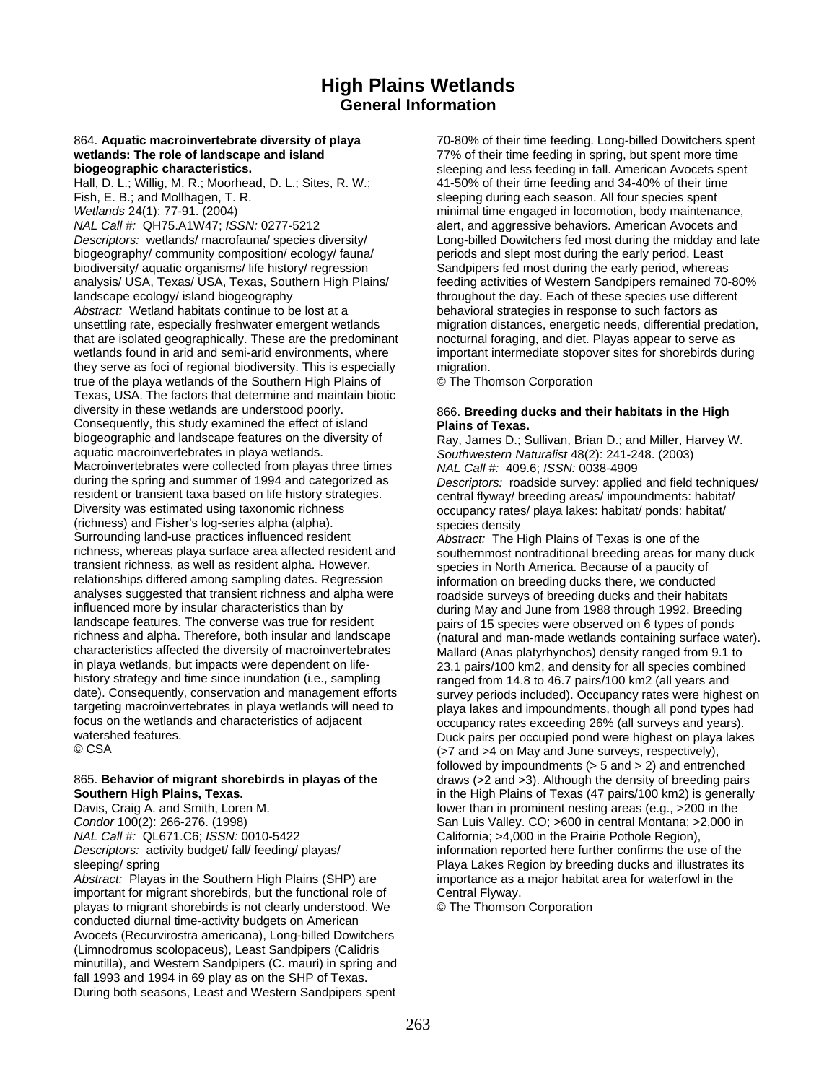# **High Plains Wetlands General Information**

### 864. **Aquatic macroinvertebrate diversity of playa wetlands: The role of landscape and island biogeographic characteristics.**

Hall, D. L.; Willig, M. R.; Moorhead, D. L.; Sites, R. W.; Fish, E. B.; and Mollhagen, T. R. *Wetlands* 24(1): 77-91. (2004)

*NAL Call #:* QH75.A1W47; *ISSN:* 0277-5212 *Descriptors:* wetlands/ macrofauna/ species diversity/ biogeography/ community composition/ ecology/ fauna/ biodiversity/ aquatic organisms/ life history/ regression analysis/ USA, Texas/ USA, Texas, Southern High Plains/ landscape ecology/ island biogeography *Abstract:* Wetland habitats continue to be lost at a unsettling rate, especially freshwater emergent wetlands that are isolated geographically. These are the predominant wetlands found in arid and semi-arid environments, where they serve as foci of regional biodiversity. This is especially true of the playa wetlands of the Southern High Plains of Texas, USA. The factors that determine and maintain biotic diversity in these wetlands are understood poorly. Consequently, this study examined the effect of island biogeographic and landscape features on the diversity of aquatic macroinvertebrates in playa wetlands. Macroinvertebrates were collected from playas three times during the spring and summer of 1994 and categorized as resident or transient taxa based on life history strategies. Diversity was estimated using taxonomic richness (richness) and Fisher's log-series alpha (alpha). Surrounding land-use practices influenced resident richness, whereas playa surface area affected resident and transient richness, as well as resident alpha. However, relationships differed among sampling dates. Regression analyses suggested that transient richness and alpha were influenced more by insular characteristics than by landscape features. The converse was true for resident richness and alpha. Therefore, both insular and landscape characteristics affected the diversity of macroinvertebrates in playa wetlands, but impacts were dependent on lifehistory strategy and time since inundation (i.e., sampling date). Consequently, conservation and management efforts targeting macroinvertebrates in playa wetlands will need to focus on the wetlands and characteristics of adjacent watershed features. © CSA

### 865. **Behavior of migrant shorebirds in playas of the Southern High Plains, Texas.**

Davis, Craig A. and Smith, Loren M. *Condor* 100(2): 266-276. (1998) *NAL Call #:* QL671.C6; *ISSN:* 0010-5422 *Descriptors:* activity budget/ fall/ feeding/ playas/ sleeping/ spring

*Abstract:* Playas in the Southern High Plains (SHP) are important for migrant shorebirds, but the functional role of playas to migrant shorebirds is not clearly understood. We conducted diurnal time-activity budgets on American Avocets (Recurvirostra americana), Long-billed Dowitchers (Limnodromus scolopaceus), Least Sandpipers (Calidris minutilla), and Western Sandpipers (C. mauri) in spring and fall 1993 and 1994 in 69 play as on the SHP of Texas. During both seasons, Least and Western Sandpipers spent

70-80% of their time feeding. Long-billed Dowitchers spent 77% of their time feeding in spring, but spent more time sleeping and less feeding in fall. American Avocets spent 41-50% of their time feeding and 34-40% of their time sleeping during each season. All four species spent minimal time engaged in locomotion, body maintenance, alert, and aggressive behaviors. American Avocets and Long-billed Dowitchers fed most during the midday and late periods and slept most during the early period. Least Sandpipers fed most during the early period, whereas feeding activities of Western Sandpipers remained 70-80% throughout the day. Each of these species use different behavioral strategies in response to such factors as migration distances, energetic needs, differential predation, nocturnal foraging, and diet. Playas appear to serve as important intermediate stopover sites for shorebirds during migration.

© The Thomson Corporation

## 866. **Breeding ducks and their habitats in the High Plains of Texas.**

Ray, James D.; Sullivan, Brian D.; and Miller, Harvey W. *Southwestern Naturalist* 48(2): 241-248. (2003) *NAL Call #:* 409.6; *ISSN:* 0038-4909 *Descriptors:* roadside survey: applied and field techniques/ central flyway/ breeding areas/ impoundments: habitat/ occupancy rates/ playa lakes: habitat/ ponds: habitat/ species density

*Abstract:* The High Plains of Texas is one of the southernmost nontraditional breeding areas for many duck species in North America. Because of a paucity of information on breeding ducks there, we conducted roadside surveys of breeding ducks and their habitats during May and June from 1988 through 1992. Breeding pairs of 15 species were observed on 6 types of ponds (natural and man-made wetlands containing surface water). Mallard (Anas platyrhynchos) density ranged from 9.1 to 23.1 pairs/100 km2, and density for all species combined ranged from 14.8 to 46.7 pairs/100 km2 (all years and survey periods included). Occupancy rates were highest on playa lakes and impoundments, though all pond types had occupancy rates exceeding 26% (all surveys and years). Duck pairs per occupied pond were highest on playa lakes (>7 and >4 on May and June surveys, respectively), followed by impoundments  $($  > 5 and  $>$  2) and entrenched draws (>2 and >3). Although the density of breeding pairs in the High Plains of Texas (47 pairs/100 km2) is generally lower than in prominent nesting areas (e.g., >200 in the San Luis Valley. CO; >600 in central Montana; >2,000 in California; >4,000 in the Prairie Pothole Region), information reported here further confirms the use of the Playa Lakes Region by breeding ducks and illustrates its importance as a major habitat area for waterfowl in the Central Flyway.

© The Thomson Corporation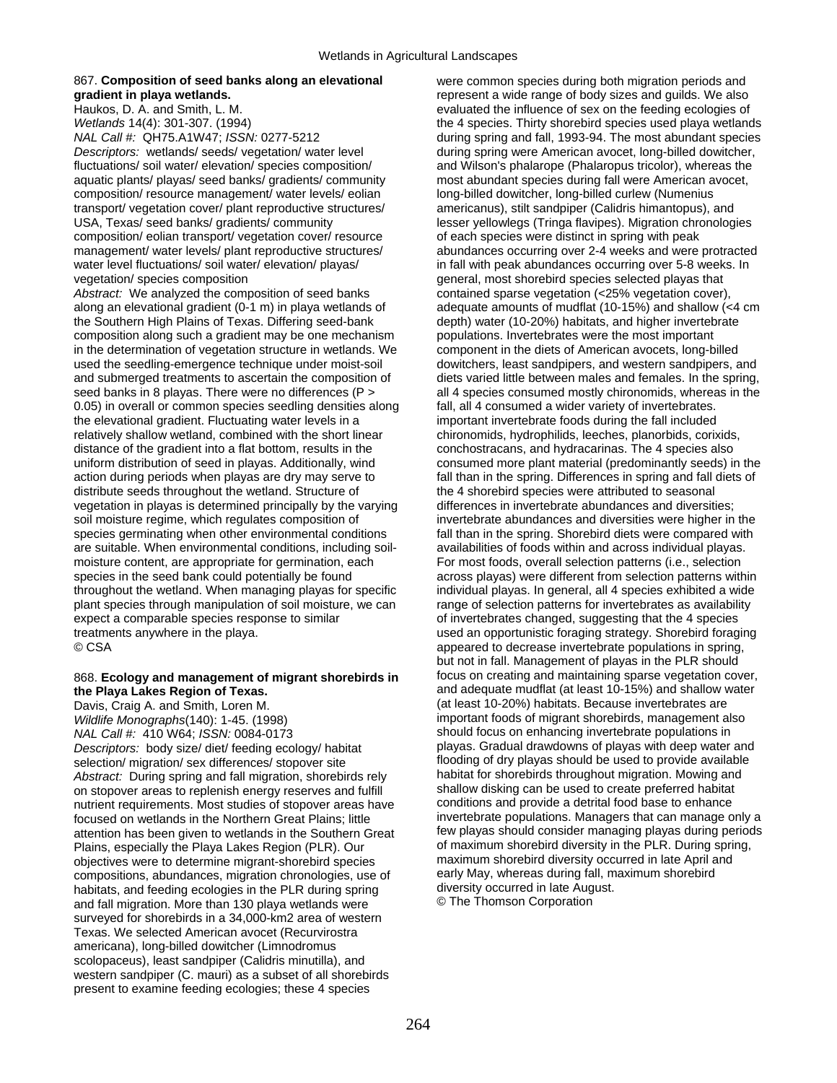### 867. **Composition of seed banks along an elevational gradient in playa wetlands.**

Haukos, D. A. and Smith, L. M. *Wetlands* 14(4): 301-307. (1994) *NAL Call #:* QH75.A1W47; *ISSN:* 0277-5212 *Descriptors:* wetlands/ seeds/ vegetation/ water level fluctuations/ soil water/ elevation/ species composition/ aquatic plants/ playas/ seed banks/ gradients/ community composition/ resource management/ water levels/ eolian transport/ vegetation cover/ plant reproductive structures/ USA, Texas/ seed banks/ gradients/ community composition/ eolian transport/ vegetation cover/ resource management/ water levels/ plant reproductive structures/ water level fluctuations/ soil water/ elevation/ playas/ vegetation/ species composition

*Abstract:* We analyzed the composition of seed banks along an elevational gradient (0-1 m) in playa wetlands of the Southern High Plains of Texas. Differing seed-bank composition along such a gradient may be one mechanism in the determination of vegetation structure in wetlands. We used the seedling-emergence technique under moist-soil and submerged treatments to ascertain the composition of seed banks in 8 playas. There were no differences (P > 0.05) in overall or common species seedling densities along the elevational gradient. Fluctuating water levels in a relatively shallow wetland, combined with the short linear distance of the gradient into a flat bottom, results in the uniform distribution of seed in playas. Additionally, wind action during periods when playas are dry may serve to distribute seeds throughout the wetland. Structure of vegetation in playas is determined principally by the varying soil moisture regime, which regulates composition of species germinating when other environmental conditions are suitable. When environmental conditions, including soilmoisture content, are appropriate for germination, each species in the seed bank could potentially be found throughout the wetland. When managing playas for specific plant species through manipulation of soil moisture, we can expect a comparable species response to similar treatments anywhere in the playa. © CSA

## 868. **Ecology and management of migrant shorebirds in the Playa Lakes Region of Texas.**

Davis, Craig A. and Smith, Loren M. *Wildlife Monographs*(140): 1-45. (1998) *NAL Call #:* 410 W64; *ISSN:* 0084-0173 *Descriptors:* body size/ diet/ feeding ecology/ habitat selection/ migration/ sex differences/ stopover site *Abstract:* During spring and fall migration, shorebirds rely on stopover areas to replenish energy reserves and fulfill nutrient requirements. Most studies of stopover areas have focused on wetlands in the Northern Great Plains; little attention has been given to wetlands in the Southern Great Plains, especially the Playa Lakes Region (PLR). Our objectives were to determine migrant-shorebird species compositions, abundances, migration chronologies, use of habitats, and feeding ecologies in the PLR during spring and fall migration. More than 130 playa wetlands were surveyed for shorebirds in a 34,000-km2 area of western Texas. We selected American avocet (Recurvirostra americana), long-billed dowitcher (Limnodromus scolopaceus), least sandpiper (Calidris minutilla), and western sandpiper (C. mauri) as a subset of all shorebirds present to examine feeding ecologies; these 4 species

were common species during both migration periods and represent a wide range of body sizes and guilds. We also evaluated the influence of sex on the feeding ecologies of the 4 species. Thirty shorebird species used playa wetlands during spring and fall, 1993-94. The most abundant species during spring were American avocet, long-billed dowitcher, and Wilson's phalarope (Phalaropus tricolor), whereas the most abundant species during fall were American avocet, long-billed dowitcher, long-billed curlew (Numenius americanus), stilt sandpiper (Calidris himantopus), and lesser yellowlegs (Tringa flavipes). Migration chronologies of each species were distinct in spring with peak abundances occurring over 2-4 weeks and were protracted in fall with peak abundances occurring over 5-8 weeks. In general, most shorebird species selected playas that contained sparse vegetation (<25% vegetation cover), adequate amounts of mudflat (10-15%) and shallow (<4 cm depth) water (10-20%) habitats, and higher invertebrate populations. Invertebrates were the most important component in the diets of American avocets, long-billed dowitchers, least sandpipers, and western sandpipers, and diets varied little between males and females. In the spring, all 4 species consumed mostly chironomids, whereas in the fall, all 4 consumed a wider variety of invertebrates. important invertebrate foods during the fall included chironomids, hydrophilids, leeches, planorbids, corixids, conchostracans, and hydracarinas. The 4 species also consumed more plant material (predominantly seeds) in the fall than in the spring. Differences in spring and fall diets of the 4 shorebird species were attributed to seasonal differences in invertebrate abundances and diversities; invertebrate abundances and diversities were higher in the fall than in the spring. Shorebird diets were compared with availabilities of foods within and across individual playas. For most foods, overall selection patterns (i.e., selection across playas) were different from selection patterns within individual playas. In general, all 4 species exhibited a wide range of selection patterns for invertebrates as availability of invertebrates changed, suggesting that the 4 species used an opportunistic foraging strategy. Shorebird foraging appeared to decrease invertebrate populations in spring, but not in fall. Management of playas in the PLR should focus on creating and maintaining sparse vegetation cover, and adequate mudflat (at least 10-15%) and shallow water (at least 10-20%) habitats. Because invertebrates are important foods of migrant shorebirds, management also should focus on enhancing invertebrate populations in playas. Gradual drawdowns of playas with deep water and flooding of dry playas should be used to provide available habitat for shorebirds throughout migration. Mowing and shallow disking can be used to create preferred habitat conditions and provide a detrital food base to enhance invertebrate populations. Managers that can manage only a few playas should consider managing playas during periods of maximum shorebird diversity in the PLR. During spring, maximum shorebird diversity occurred in late April and early May, whereas during fall, maximum shorebird diversity occurred in late August. © The Thomson Corporation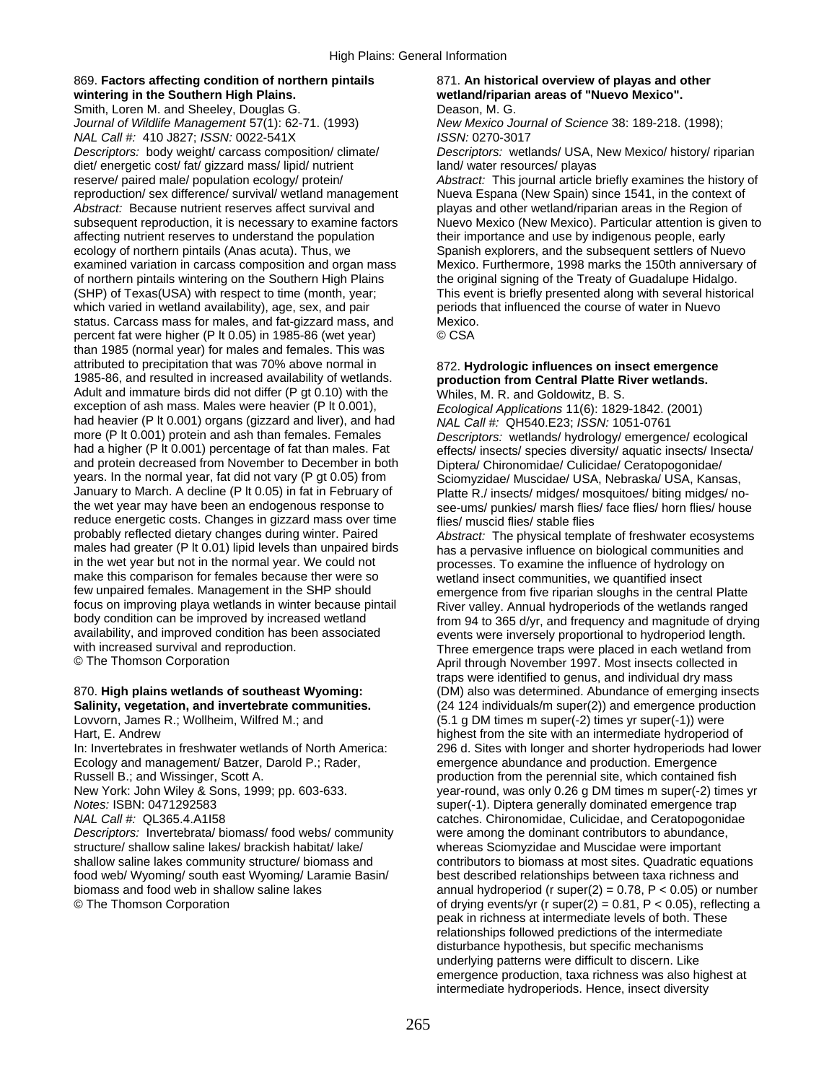## 869. **Factors affecting condition of northern pintails wintering in the Southern High Plains.**

Smith, Loren M. and Sheeley, Douglas G. *Journal of Wildlife Management* 57(1): 62-71. (1993) *NAL Call #:* 410 J827; *ISSN:* 0022-541X *Descriptors:* body weight/ carcass composition/ climate/ diet/ energetic cost/ fat/ gizzard mass/ lipid/ nutrient reserve/ paired male/ population ecology/ protein/ reproduction/ sex difference/ survival/ wetland management *Abstract:* Because nutrient reserves affect survival and subsequent reproduction, it is necessary to examine factors affecting nutrient reserves to understand the population ecology of northern pintails (Anas acuta). Thus, we examined variation in carcass composition and organ mass of northern pintails wintering on the Southern High Plains (SHP) of Texas(USA) with respect to time (month, year; which varied in wetland availability), age, sex, and pair status. Carcass mass for males, and fat-gizzard mass, and percent fat were higher (P lt 0.05) in 1985-86 (wet year) than 1985 (normal year) for males and females. This was attributed to precipitation that was 70% above normal in 1985-86, and resulted in increased availability of wetlands. Adult and immature birds did not differ (P gt 0.10) with the exception of ash mass. Males were heavier (P lt 0.001), had heavier (P lt 0.001) organs (gizzard and liver), and had more (P lt 0.001) protein and ash than females. Females had a higher (P lt 0.001) percentage of fat than males. Fat and protein decreased from November to December in both years. In the normal year, fat did not vary (P gt 0.05) from January to March. A decline (P lt 0.05) in fat in February of the wet year may have been an endogenous response to reduce energetic costs. Changes in gizzard mass over time probably reflected dietary changes during winter. Paired males had greater (P lt 0.01) lipid levels than unpaired birds in the wet year but not in the normal year. We could not make this comparison for females because ther were so few unpaired females. Management in the SHP should focus on improving playa wetlands in winter because pintail body condition can be improved by increased wetland availability, and improved condition has been associated with increased survival and reproduction. © The Thomson Corporation

# 870. **High plains wetlands of southeast Wyoming: Salinity, vegetation, and invertebrate communities.**

Lovvorn, James R.; Wollheim, Wilfred M.; and Hart, E. Andrew

In: Invertebrates in freshwater wetlands of North America: Ecology and management/ Batzer, Darold P.; Rader, Russell B.; and Wissinger, Scott A.

New York: John Wiley & Sons, 1999; pp. 603-633.

*Notes:* ISBN: 0471292583

*NAL Call #:* QL365.4.A1I58

*Descriptors:* Invertebrata/ biomass/ food webs/ community structure/ shallow saline lakes/ brackish habitat/ lake/ shallow saline lakes community structure/ biomass and food web/ Wyoming/ south east Wyoming/ Laramie Basin/ biomass and food web in shallow saline lakes © The Thomson Corporation

#### 871. **An historical overview of playas and other wetland/riparian areas of "Nuevo Mexico".**  Deason, M. G.

*New Mexico Journal of Science* 38: 189-218. (1998); *ISSN:* 0270-3017

*Descriptors:* wetlands/ USA, New Mexico/ history/ riparian land/ water resources/ playas

*Abstract:* This journal article briefly examines the history of Nueva Espana (New Spain) since 1541, in the context of playas and other wetland/riparian areas in the Region of Nuevo Mexico (New Mexico). Particular attention is given to their importance and use by indigenous people, early Spanish explorers, and the subsequent settlers of Nuevo Mexico. Furthermore, 1998 marks the 150th anniversary of the original signing of the Treaty of Guadalupe Hidalgo. This event is briefly presented along with several historical periods that influenced the course of water in Nuevo Mexico.

© CSA

### 872. **Hydrologic influences on insect emergence production from Central Platte River wetlands.**  Whiles, M. R. and Goldowitz, B. S.

*Ecological Applications* 11(6): 1829-1842. (2001) *NAL Call #:* QH540.E23; *ISSN:* 1051-0761 *Descriptors:* wetlands/ hydrology/ emergence/ ecological effects/ insects/ species diversity/ aquatic insects/ Insecta/ Diptera/ Chironomidae/ Culicidae/ Ceratopogonidae/ Sciomyzidae/ Muscidae/ USA, Nebraska/ USA, Kansas, Platte R./ insects/ midges/ mosquitoes/ biting midges/ nosee-ums/ punkies/ marsh flies/ face flies/ horn flies/ house flies/ muscid flies/ stable flies

*Abstract:* The physical template of freshwater ecosystems has a pervasive influence on biological communities and processes. To examine the influence of hydrology on wetland insect communities, we quantified insect emergence from five riparian sloughs in the central Platte River valley. Annual hydroperiods of the wetlands ranged from 94 to 365 d/yr, and frequency and magnitude of drying events were inversely proportional to hydroperiod length. Three emergence traps were placed in each wetland from April through November 1997. Most insects collected in traps were identified to genus, and individual dry mass (DM) also was determined. Abundance of emerging insects (24 124 individuals/m super(2)) and emergence production (5.1 g DM times m super(-2) times yr super(-1)) were highest from the site with an intermediate hydroperiod of 296 d. Sites with longer and shorter hydroperiods had lower emergence abundance and production. Emergence production from the perennial site, which contained fish year-round, was only 0.26 g DM times m super(-2) times yr super(-1). Diptera generally dominated emergence trap catches. Chironomidae, Culicidae, and Ceratopogonidae were among the dominant contributors to abundance, whereas Sciomyzidae and Muscidae were important contributors to biomass at most sites. Quadratic equations best described relationships between taxa richness and annual hydroperiod (r super(2) =  $0.78$ ,  $P < 0.05$ ) or number of drying events/yr (r super(2) =  $0.81$ , P <  $0.05$ ), reflecting a peak in richness at intermediate levels of both. These relationships followed predictions of the intermediate disturbance hypothesis, but specific mechanisms underlying patterns were difficult to discern. Like emergence production, taxa richness was also highest at intermediate hydroperiods. Hence, insect diversity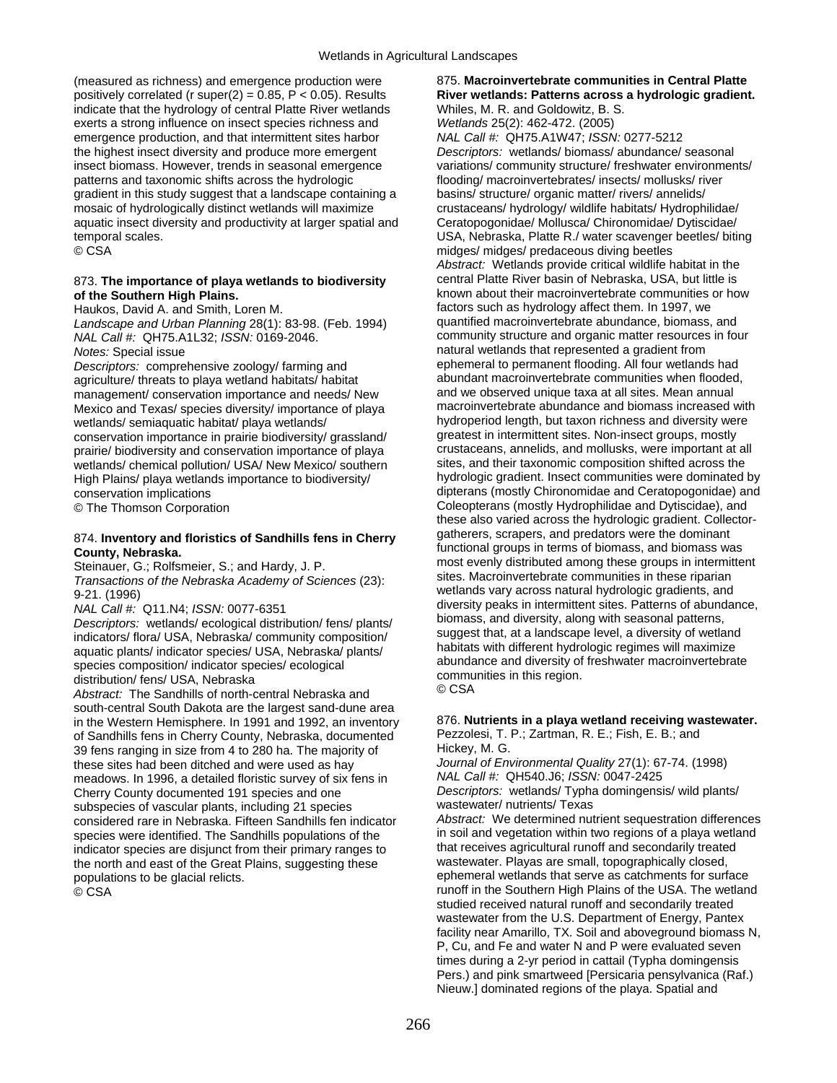(measured as richness) and emergence production were positively correlated (r super(2) =  $0.85$ , P <  $0.05$ ). Results indicate that the hydrology of central Platte River wetlands exerts a strong influence on insect species richness and emergence production, and that intermittent sites harbor the highest insect diversity and produce more emergent insect biomass. However, trends in seasonal emergence patterns and taxonomic shifts across the hydrologic gradient in this study suggest that a landscape containing a mosaic of hydrologically distinct wetlands will maximize aquatic insect diversity and productivity at larger spatial and temporal scales.

© CSA

# 873. **The importance of playa wetlands to biodiversity of the Southern High Plains.**

Haukos, David A. and Smith, Loren M.

*Landscape and Urban Planning* 28(1): 83-98. (Feb. 1994) *NAL Call #:* QH75.A1L32; *ISSN:* 0169-2046.

# *Notes:* Special issue

*Descriptors:* comprehensive zoology/ farming and agriculture/ threats to playa wetland habitats/ habitat management/ conservation importance and needs/ New Mexico and Texas/ species diversity/ importance of playa wetlands/ semiaquatic habitat/ playa wetlands/ conservation importance in prairie biodiversity/ grassland/ prairie/ biodiversity and conservation importance of playa wetlands/ chemical pollution/ USA/ New Mexico/ southern High Plains/ playa wetlands importance to biodiversity/ conservation implications

© The Thomson Corporation

### 874. **Inventory and floristics of Sandhills fens in Cherry County, Nebraska.**

Steinauer, G.; Rolfsmeier, S.; and Hardy, J. P. *Transactions of the Nebraska Academy of Sciences* (23): 9-21. (1996)

*NAL Call #:* Q11.N4; *ISSN:* 0077-6351

*Descriptors:* wetlands/ ecological distribution/ fens/ plants/ indicators/ flora/ USA, Nebraska/ community composition/ aquatic plants/ indicator species/ USA, Nebraska/ plants/ species composition/ indicator species/ ecological distribution/ fens/ USA, Nebraska

*Abstract:* The Sandhills of north-central Nebraska and south-central South Dakota are the largest sand-dune area in the Western Hemisphere. In 1991 and 1992, an inventory of Sandhills fens in Cherry County, Nebraska, documented 39 fens ranging in size from 4 to 280 ha. The majority of these sites had been ditched and were used as hay meadows. In 1996, a detailed floristic survey of six fens in Cherry County documented 191 species and one subspecies of vascular plants, including 21 species considered rare in Nebraska. Fifteen Sandhills fen indicator species were identified. The Sandhills populations of the indicator species are disjunct from their primary ranges to the north and east of the Great Plains, suggesting these populations to be glacial relicts.

© CSA

# 875. **Macroinvertebrate communities in Central Platte River wetlands: Patterns across a hydrologic gradient.**  Whiles, M. R. and Goldowitz, B. S.

*Wetlands* 25(2): 462-472. (2005) *NAL Call #:* QH75.A1W47; *ISSN:* 0277-5212 *Descriptors:* wetlands/ biomass/ abundance/ seasonal variations/ community structure/ freshwater environments/ flooding/ macroinvertebrates/ insects/ mollusks/ river basins/ structure/ organic matter/ rivers/ annelids/ crustaceans/ hydrology/ wildlife habitats/ Hydrophilidae/ Ceratopogonidae/ Mollusca/ Chironomidae/ Dytiscidae/ USA, Nebraska, Platte R./ water scavenger beetles/ biting midges/ midges/ predaceous diving beetles *Abstract:* Wetlands provide critical wildlife habitat in the central Platte River basin of Nebraska, USA, but little is known about their macroinvertebrate communities or how factors such as hydrology affect them. In 1997, we quantified macroinvertebrate abundance, biomass, and community structure and organic matter resources in four natural wetlands that represented a gradient from ephemeral to permanent flooding. All four wetlands had abundant macroinvertebrate communities when flooded, and we observed unique taxa at all sites. Mean annual macroinvertebrate abundance and biomass increased with hydroperiod length, but taxon richness and diversity were greatest in intermittent sites. Non-insect groups, mostly crustaceans, annelids, and mollusks, were important at all sites, and their taxonomic composition shifted across the hydrologic gradient. Insect communities were dominated by dipterans (mostly Chironomidae and Ceratopogonidae) and Coleopterans (mostly Hydrophilidae and Dytiscidae), and these also varied across the hydrologic gradient. Collectorgatherers, scrapers, and predators were the dominant functional groups in terms of biomass, and biomass was most evenly distributed among these groups in intermittent sites. Macroinvertebrate communities in these riparian wetlands vary across natural hydrologic gradients, and diversity peaks in intermittent sites. Patterns of abundance, biomass, and diversity, along with seasonal patterns, suggest that, at a landscape level, a diversity of wetland habitats with different hydrologic regimes will maximize abundance and diversity of freshwater macroinvertebrate communities in this region. © CSA

# 876. **Nutrients in a playa wetland receiving wastewater.**  Pezzolesi, T. P.; Zartman, R. E.; Fish, E. B.; and

Hickey, M. G. *Journal of Environmental Quality* 27(1): 67-74. (1998) *NAL Call #:* QH540.J6; *ISSN:* 0047-2425

*Descriptors:* wetlands/ Typha domingensis/ wild plants/ wastewater/ nutrients/ Texas

*Abstract:* We determined nutrient sequestration differences in soil and vegetation within two regions of a playa wetland that receives agricultural runoff and secondarily treated wastewater. Playas are small, topographically closed, ephemeral wetlands that serve as catchments for surface runoff in the Southern High Plains of the USA. The wetland studied received natural runoff and secondarily treated wastewater from the U.S. Department of Energy, Pantex facility near Amarillo, TX. Soil and aboveground biomass N, P, Cu, and Fe and water N and P were evaluated seven times during a 2-yr period in cattail (Typha domingensis Pers.) and pink smartweed [Persicaria pensylvanica (Raf.) Nieuw.] dominated regions of the playa. Spatial and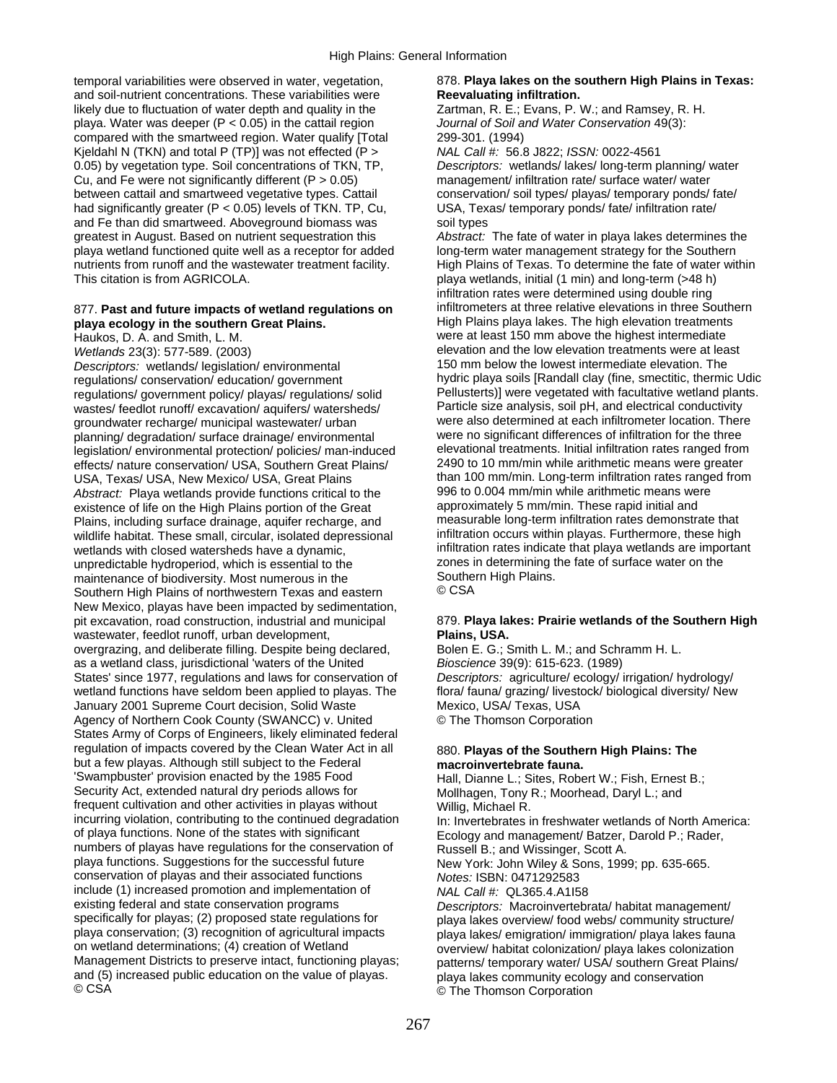temporal variabilities were observed in water, vegetation, and soil-nutrient concentrations. These variabilities were likely due to fluctuation of water depth and quality in the playa. Water was deeper  $(P < 0.05)$  in the cattail region compared with the smartweed region. Water qualify [Total Kjeldahl N (TKN) and total P (TP)] was not effected (P > 0.05) by vegetation type. Soil concentrations of TKN, TP, Cu, and Fe were not significantly different ( $P > 0.05$ ) between cattail and smartweed vegetative types. Cattail had significantly greater (P < 0.05) levels of TKN. TP, Cu, and Fe than did smartweed. Aboveground biomass was greatest in August. Based on nutrient sequestration this playa wetland functioned quite well as a receptor for added nutrients from runoff and the wastewater treatment facility. This citation is from AGRICOLA.

### 877. **Past and future impacts of wetland regulations on playa ecology in the southern Great Plains.**

Haukos, D. A. and Smith, L. M.

*Wetlands* 23(3): 577-589. (2003) *Descriptors:* wetlands/ legislation/ environmental regulations/ conservation/ education/ government regulations/ government policy/ playas/ regulations/ solid wastes/ feedlot runoff/ excavation/ aquifers/ watersheds/ groundwater recharge/ municipal wastewater/ urban planning/ degradation/ surface drainage/ environmental legislation/ environmental protection/ policies/ man-induced effects/ nature conservation/ USA, Southern Great Plains/ USA, Texas/ USA, New Mexico/ USA, Great Plains *Abstract:* Playa wetlands provide functions critical to the existence of life on the High Plains portion of the Great Plains, including surface drainage, aquifer recharge, and wildlife habitat. These small, circular, isolated depressional wetlands with closed watersheds have a dynamic, unpredictable hydroperiod, which is essential to the maintenance of biodiversity. Most numerous in the Southern High Plains of northwestern Texas and eastern New Mexico, playas have been impacted by sedimentation, pit excavation, road construction, industrial and municipal wastewater, feedlot runoff, urban development, overgrazing, and deliberate filling. Despite being declared, as a wetland class, jurisdictional 'waters of the United States' since 1977, regulations and laws for conservation of wetland functions have seldom been applied to playas. The January 2001 Supreme Court decision, Solid Waste Agency of Northern Cook County (SWANCC) v. United States Army of Corps of Engineers, likely eliminated federal regulation of impacts covered by the Clean Water Act in all but a few playas. Although still subject to the Federal 'Swampbuster' provision enacted by the 1985 Food Security Act, extended natural dry periods allows for frequent cultivation and other activities in playas without incurring violation, contributing to the continued degradation of playa functions. None of the states with significant numbers of playas have regulations for the conservation of playa functions. Suggestions for the successful future conservation of playas and their associated functions include (1) increased promotion and implementation of existing federal and state conservation programs specifically for playas; (2) proposed state regulations for playa conservation; (3) recognition of agricultural impacts on wetland determinations; (4) creation of Wetland Management Districts to preserve intact, functioning playas; and (5) increased public education on the value of playas. © CSA

# 878. **Playa lakes on the southern High Plains in Texas: Reevaluating infiltration.**

Zartman, R. E.; Evans, P. W.; and Ramsey, R. H. *Journal of Soil and Water Conservation* 49(3): 299-301. (1994)

*NAL Call #:* 56.8 J822; *ISSN:* 0022-4561 *Descriptors:* wetlands/ lakes/ long-term planning/ water management/ infiltration rate/ surface water/ water conservation/ soil types/ playas/ temporary ponds/ fate/ USA, Texas/ temporary ponds/ fate/ infiltration rate/ soil types

*Abstract:* The fate of water in playa lakes determines the long-term water management strategy for the Southern High Plains of Texas. To determine the fate of water within playa wetlands, initial (1 min) and long-term (>48 h) infiltration rates were determined using double ring infiltrometers at three relative elevations in three Southern High Plains playa lakes. The high elevation treatments were at least 150 mm above the highest intermediate elevation and the low elevation treatments were at least 150 mm below the lowest intermediate elevation. The hydric playa soils [Randall clay (fine, smectitic, thermic Udic Pellusterts)] were vegetated with facultative wetland plants. Particle size analysis, soil pH, and electrical conductivity were also determined at each infiltrometer location. There were no significant differences of infiltration for the three elevational treatments. Initial infiltration rates ranged from 2490 to 10 mm/min while arithmetic means were greater than 100 mm/min. Long-term infiltration rates ranged from 996 to 0.004 mm/min while arithmetic means were approximately 5 mm/min. These rapid initial and measurable long-term infiltration rates demonstrate that infiltration occurs within playas. Furthermore, these high infiltration rates indicate that playa wetlands are important zones in determining the fate of surface water on the Southern High Plains. © CSA

## 879. **Playa lakes: Prairie wetlands of the Southern High Plains, USA.**

Bolen E. G.; Smith L. M.; and Schramm H. L. *Bioscience* 39(9): 615-623. (1989) *Descriptors:* agriculture/ ecology/ irrigation/ hydrology/ flora/ fauna/ grazing/ livestock/ biological diversity/ New Mexico, USA/ Texas, USA © The Thomson Corporation

## 880. **Playas of the Southern High Plains: The macroinvertebrate fauna.**

Hall, Dianne L.; Sites, Robert W.; Fish, Ernest B.; Mollhagen, Tony R.; Moorhead, Daryl L.; and Willig, Michael R. In: Invertebrates in freshwater wetlands of North America: Ecology and management/ Batzer, Darold P.; Rader, Russell B.; and Wissinger, Scott A. New York: John Wiley & Sons, 1999; pp. 635-665. *Notes:* ISBN: 0471292583 *NAL Call #:* QL365.4.A1I58 *Descriptors:* Macroinvertebrata/ habitat management/ playa lakes overview/ food webs/ community structure/ playa lakes/ emigration/ immigration/ playa lakes fauna overview/ habitat colonization/ playa lakes colonization patterns/ temporary water/ USA/ southern Great Plains/ playa lakes community ecology and conservation

© The Thomson Corporation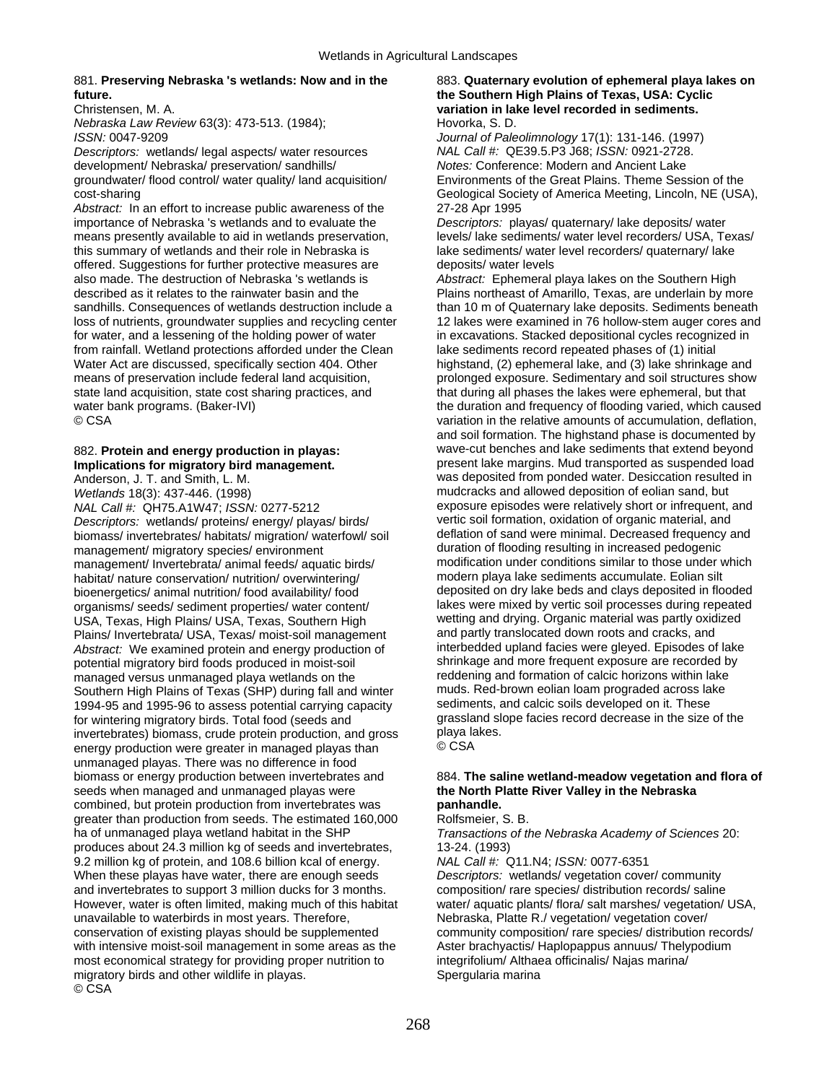# 881. **Preserving Nebraska 's wetlands: Now and in the future.**

Christensen, M. A. *Nebraska Law Review* 63(3): 473-513. (1984); *ISSN:* 0047-9209

*Descriptors:* wetlands/ legal aspects/ water resources development/ Nebraska/ preservation/ sandhills/ groundwater/ flood control/ water quality/ land acquisition/ cost-sharing

*Abstract:* In an effort to increase public awareness of the importance of Nebraska 's wetlands and to evaluate the means presently available to aid in wetlands preservation, this summary of wetlands and their role in Nebraska is offered. Suggestions for further protective measures are also made. The destruction of Nebraska 's wetlands is described as it relates to the rainwater basin and the sandhills. Consequences of wetlands destruction include a loss of nutrients, groundwater supplies and recycling center for water, and a lessening of the holding power of water from rainfall. Wetland protections afforded under the Clean Water Act are discussed, specifically section 404. Other means of preservation include federal land acquisition, state land acquisition, state cost sharing practices, and water bank programs. (Baker-IVI) © CSA

# 882. **Protein and energy production in playas: Implications for migratory bird management.**

Anderson, J. T. and Smith, L. M.

*Wetlands* 18(3): 437-446. (1998)

*NAL Call #:* QH75.A1W47; *ISSN:* 0277-5212 *Descriptors:* wetlands/ proteins/ energy/ playas/ birds/ biomass/ invertebrates/ habitats/ migration/ waterfowl/ soil management/ migratory species/ environment management/ Invertebrata/ animal feeds/ aquatic birds/ habitat/ nature conservation/ nutrition/ overwintering/ bioenergetics/ animal nutrition/ food availability/ food organisms/ seeds/ sediment properties/ water content/ USA, Texas, High Plains/ USA, Texas, Southern High Plains/ Invertebrata/ USA, Texas/ moist-soil management *Abstract:* We examined protein and energy production of potential migratory bird foods produced in moist-soil managed versus unmanaged playa wetlands on the Southern High Plains of Texas (SHP) during fall and winter 1994-95 and 1995-96 to assess potential carrying capacity for wintering migratory birds. Total food (seeds and invertebrates) biomass, crude protein production, and gross energy production were greater in managed playas than unmanaged playas. There was no difference in food biomass or energy production between invertebrates and seeds when managed and unmanaged playas were combined, but protein production from invertebrates was greater than production from seeds. The estimated 160,000 ha of unmanaged playa wetland habitat in the SHP produces about 24.3 million kg of seeds and invertebrates, 9.2 million kg of protein, and 108.6 billion kcal of energy. When these playas have water, there are enough seeds and invertebrates to support 3 million ducks for 3 months. However, water is often limited, making much of this habitat unavailable to waterbirds in most years. Therefore, conservation of existing playas should be supplemented with intensive moist-soil management in some areas as the most economical strategy for providing proper nutrition to migratory birds and other wildlife in playas. © CSA

### 883. **Quaternary evolution of ephemeral playa lakes on the Southern High Plains of Texas, USA: Cyclic variation in lake level recorded in sediments.**  Hovorka, S. D.

*Journal of Paleolimnology* 17(1): 131-146. (1997) *NAL Call #:* QE39.5.P3 J68; *ISSN:* 0921-2728. *Notes:* Conference: Modern and Ancient Lake Environments of the Great Plains. Theme Session of the Geological Society of America Meeting, Lincoln, NE (USA), 27-28 Apr 1995

*Descriptors:* playas/ quaternary/ lake deposits/ water levels/ lake sediments/ water level recorders/ USA, Texas/ lake sediments/ water level recorders/ quaternary/ lake deposits/ water levels

*Abstract:* Ephemeral playa lakes on the Southern High Plains northeast of Amarillo, Texas, are underlain by more than 10 m of Quaternary lake deposits. Sediments beneath 12 lakes were examined in 76 hollow-stem auger cores and in excavations. Stacked depositional cycles recognized in lake sediments record repeated phases of (1) initial highstand, (2) ephemeral lake, and (3) lake shrinkage and prolonged exposure. Sedimentary and soil structures show that during all phases the lakes were ephemeral, but that the duration and frequency of flooding varied, which caused variation in the relative amounts of accumulation, deflation, and soil formation. The highstand phase is documented by wave-cut benches and lake sediments that extend beyond present lake margins. Mud transported as suspended load was deposited from ponded water. Desiccation resulted in mudcracks and allowed deposition of eolian sand, but exposure episodes were relatively short or infrequent, and vertic soil formation, oxidation of organic material, and deflation of sand were minimal. Decreased frequency and duration of flooding resulting in increased pedogenic modification under conditions similar to those under which modern playa lake sediments accumulate. Eolian silt deposited on dry lake beds and clays deposited in flooded lakes were mixed by vertic soil processes during repeated wetting and drying. Organic material was partly oxidized and partly translocated down roots and cracks, and interbedded upland facies were gleyed. Episodes of lake shrinkage and more frequent exposure are recorded by reddening and formation of calcic horizons within lake muds. Red-brown eolian loam prograded across lake sediments, and calcic soils developed on it. These grassland slope facies record decrease in the size of the playa lakes.

© CSA

# 884. **The saline wetland-meadow vegetation and flora of the North Platte River Valley in the Nebraska panhandle.**

Rolfsmeier, S. B.

*Transactions of the Nebraska Academy of Sciences* 20: 13-24. (1993)

*NAL Call #:* Q11.N4; *ISSN:* 0077-6351

*Descriptors:* wetlands/ vegetation cover/ community composition/ rare species/ distribution records/ saline water/ aquatic plants/ flora/ salt marshes/ vegetation/ USA, Nebraska, Platte R./ vegetation/ vegetation cover/ community composition/ rare species/ distribution records/ Aster brachyactis/ Haplopappus annuus/ Thelypodium integrifolium/ Althaea officinalis/ Najas marina/ Spergularia marina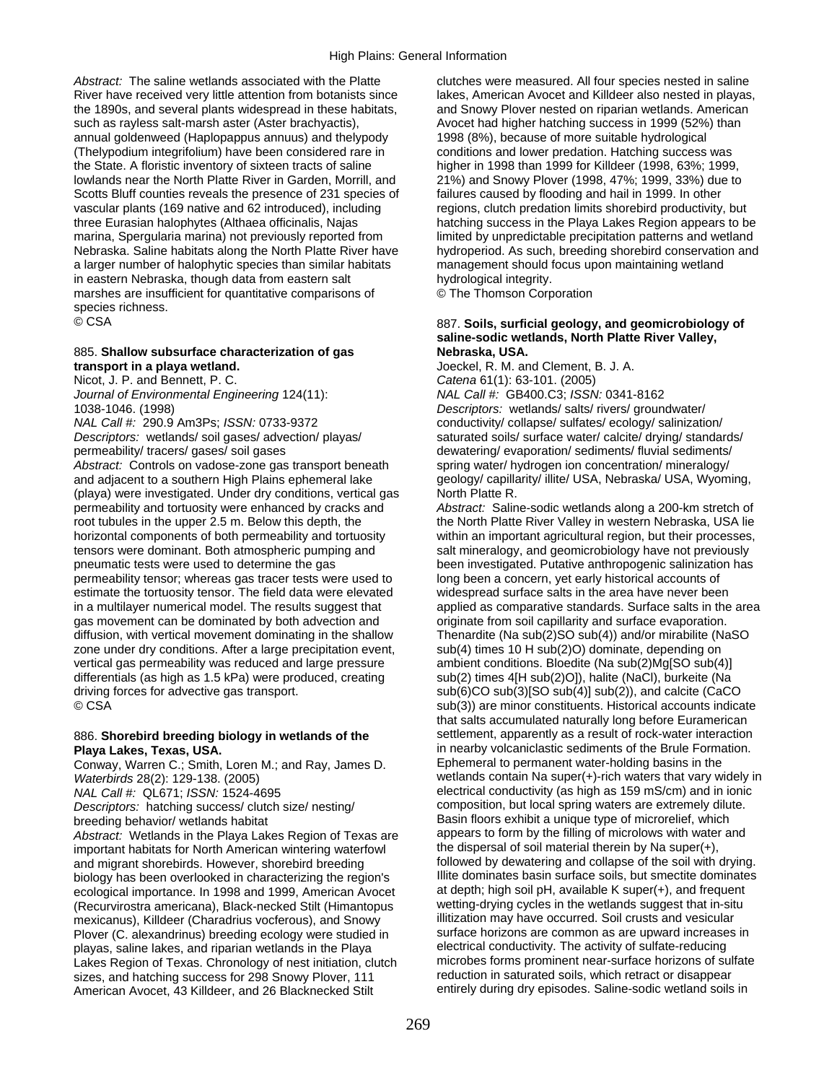*Abstract:* The saline wetlands associated with the Platte River have received very little attention from botanists since the 1890s, and several plants widespread in these habitats, such as rayless salt-marsh aster (Aster brachyactis), annual goldenweed (Haplopappus annuus) and thelypody (Thelypodium integrifolium) have been considered rare in the State. A floristic inventory of sixteen tracts of saline lowlands near the North Platte River in Garden, Morrill, and Scotts Bluff counties reveals the presence of 231 species of vascular plants (169 native and 62 introduced), including three Eurasian halophytes (Althaea officinalis, Najas marina, Spergularia marina) not previously reported from Nebraska. Saline habitats along the North Platte River have a larger number of halophytic species than similar habitats in eastern Nebraska, though data from eastern salt marshes are insufficient for quantitative comparisons of species richness.

© CSA

## 885. **Shallow subsurface characterization of gas transport in a playa wetland.**

Nicot, J. P. and Bennett, P. C. *Journal of Environmental Engineering* 124(11): 1038-1046. (1998)

*NAL Call #:* 290.9 Am3Ps; *ISSN:* 0733-9372 *Descriptors:* wetlands/ soil gases/ advection/ playas/ permeability/ tracers/ gases/ soil gases

*Abstract:* Controls on vadose-zone gas transport beneath and adjacent to a southern High Plains ephemeral lake (playa) were investigated. Under dry conditions, vertical gas permeability and tortuosity were enhanced by cracks and root tubules in the upper 2.5 m. Below this depth, the horizontal components of both permeability and tortuosity tensors were dominant. Both atmospheric pumping and pneumatic tests were used to determine the gas permeability tensor; whereas gas tracer tests were used to estimate the tortuosity tensor. The field data were elevated in a multilayer numerical model. The results suggest that gas movement can be dominated by both advection and diffusion, with vertical movement dominating in the shallow zone under dry conditions. After a large precipitation event, vertical gas permeability was reduced and large pressure differentials (as high as 1.5 kPa) were produced, creating driving forces for advective gas transport. © CSA

## 886. **Shorebird breeding biology in wetlands of the Playa Lakes, Texas, USA.**

Conway, Warren C.; Smith, Loren M.; and Ray, James D. *Waterbirds* 28(2): 129-138. (2005)

*NAL Call #:* QL671; *ISSN:* 1524-4695

*Descriptors:* hatching success/ clutch size/ nesting/ breeding behavior/ wetlands habitat

*Abstract:* Wetlands in the Playa Lakes Region of Texas are important habitats for North American wintering waterfowl and migrant shorebirds. However, shorebird breeding biology has been overlooked in characterizing the region's ecological importance. In 1998 and 1999, American Avocet (Recurvirostra americana), Black-necked Stilt (Himantopus mexicanus), Killdeer (Charadrius vocferous), and Snowy Plover (C. alexandrinus) breeding ecology were studied in playas, saline lakes, and riparian wetlands in the Playa Lakes Region of Texas. Chronology of nest initiation, clutch sizes, and hatching success for 298 Snowy Plover, 111 American Avocet, 43 Killdeer, and 26 Blacknecked Stilt

clutches were measured. All four species nested in saline lakes, American Avocet and Killdeer also nested in playas, and Snowy Plover nested on riparian wetlands. American Avocet had higher hatching success in 1999 (52%) than 1998 (8%), because of more suitable hydrological conditions and lower predation. Hatching success was higher in 1998 than 1999 for Killdeer (1998, 63%; 1999, 21%) and Snowy Plover (1998, 47%; 1999, 33%) due to failures caused by flooding and hail in 1999. In other regions, clutch predation limits shorebird productivity, but hatching success in the Playa Lakes Region appears to be limited by unpredictable precipitation patterns and wetland hydroperiod. As such, breeding shorebird conservation and management should focus upon maintaining wetland hydrological integrity.

© The Thomson Corporation

### 887. **Soils, surficial geology, and geomicrobiology of saline-sodic wetlands, North Platte River Valley, Nebraska, USA.**

Joeckel, R. M. and Clement, B. J. A. *Catena* 61(1): 63-101. (2005)

*NAL Call #:* GB400.C3; *ISSN:* 0341-8162 *Descriptors:* wetlands/ salts/ rivers/ groundwater/ conductivity/ collapse/ sulfates/ ecology/ salinization/ saturated soils/ surface water/ calcite/ drying/ standards/ dewatering/ evaporation/ sediments/ fluvial sediments/ spring water/ hydrogen ion concentration/ mineralogy/ geology/ capillarity/ illite/ USA, Nebraska/ USA, Wyoming, North Platte R.

*Abstract:* Saline-sodic wetlands along a 200-km stretch of the North Platte River Valley in western Nebraska, USA lie within an important agricultural region, but their processes, salt mineralogy, and geomicrobiology have not previously been investigated. Putative anthropogenic salinization has long been a concern, yet early historical accounts of widespread surface salts in the area have never been applied as comparative standards. Surface salts in the area originate from soil capillarity and surface evaporation. Thenardite (Na sub(2)SO sub(4)) and/or mirabilite (NaSO sub(4) times 10 H sub(2)O) dominate, depending on ambient conditions. Bloedite (Na sub(2)Mg[SO sub(4)] sub(2) times 4[H sub(2)O]), halite (NaCl), burkeite (Na sub(6)CO sub(3)[SO sub(4)] sub(2)), and calcite (CaCO sub(3)) are minor constituents. Historical accounts indicate that salts accumulated naturally long before Euramerican settlement, apparently as a result of rock-water interaction in nearby volcaniclastic sediments of the Brule Formation. Ephemeral to permanent water-holding basins in the wetlands contain Na super(+)-rich waters that vary widely in electrical conductivity (as high as 159 mS/cm) and in ionic composition, but local spring waters are extremely dilute. Basin floors exhibit a unique type of microrelief, which appears to form by the filling of microlows with water and the dispersal of soil material therein by Na super(+), followed by dewatering and collapse of the soil with drying. Illite dominates basin surface soils, but smectite dominates at depth; high soil pH, available K super(+), and frequent wetting-drying cycles in the wetlands suggest that in-situ illitization may have occurred. Soil crusts and vesicular surface horizons are common as are upward increases in electrical conductivity. The activity of sulfate-reducing microbes forms prominent near-surface horizons of sulfate reduction in saturated soils, which retract or disappear entirely during dry episodes. Saline-sodic wetland soils in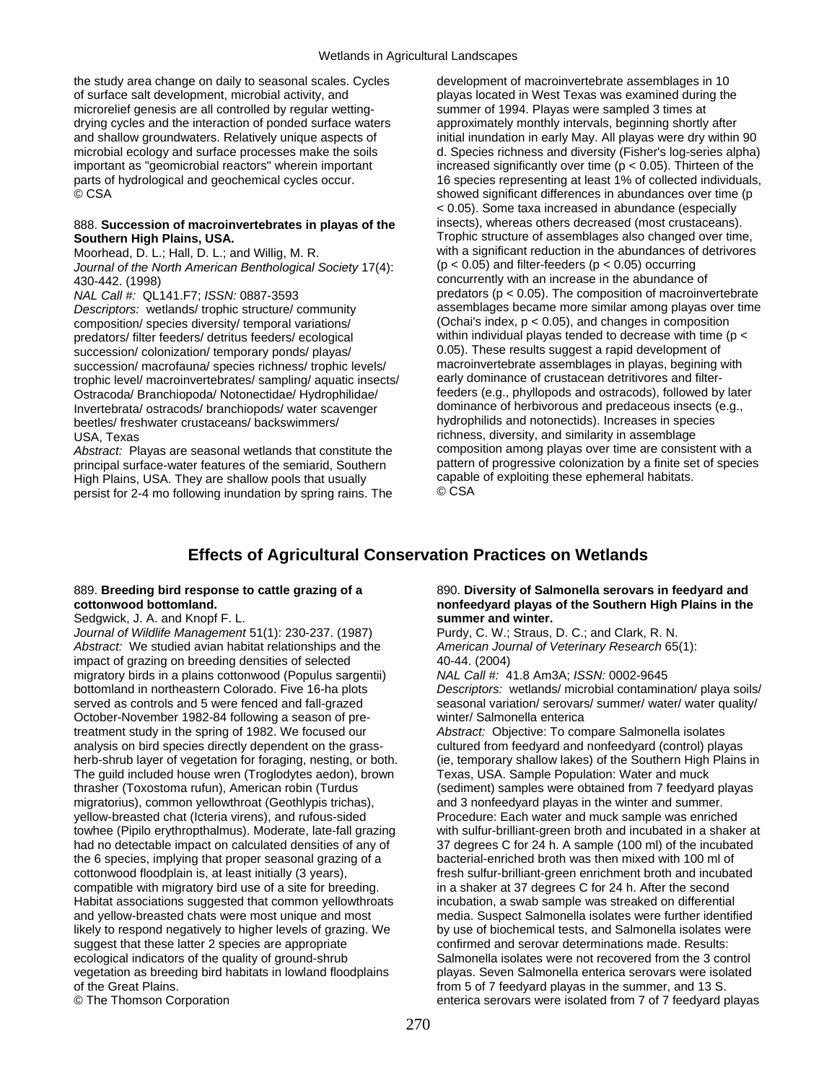the study area change on daily to seasonal scales. Cycles of surface salt development, microbial activity, and microrelief genesis are all controlled by regular wettingdrying cycles and the interaction of ponded surface waters and shallow groundwaters. Relatively unique aspects of microbial ecology and surface processes make the soils important as "geomicrobial reactors" wherein important parts of hydrological and geochemical cycles occur. © CSA

## 888. **Succession of macroinvertebrates in playas of the Southern High Plains, USA.**

Moorhead, D. L.; Hall, D. L.; and Willig, M. R. *Journal of the North American Benthological Society* 17(4): 430-442. (1998)

*NAL Call #:* QL141.F7; *ISSN:* 0887-3593

*Descriptors:* wetlands/ trophic structure/ community composition/ species diversity/ temporal variations/ predators/ filter feeders/ detritus feeders/ ecological succession/ colonization/ temporary ponds/ playas/ succession/ macrofauna/ species richness/ trophic levels/ trophic level/ macroinvertebrates/ sampling/ aquatic insects/ Ostracoda/ Branchiopoda/ Notonectidae/ Hydrophilidae/ Invertebrata/ ostracods/ branchiopods/ water scavenger beetles/ freshwater crustaceans/ backswimmers/ USA, Texas

*Abstract:* Playas are seasonal wetlands that constitute the principal surface-water features of the semiarid, Southern High Plains, USA. They are shallow pools that usually persist for 2-4 mo following inundation by spring rains. The development of macroinvertebrate assemblages in 10 playas located in West Texas was examined during the summer of 1994. Playas were sampled 3 times at approximately monthly intervals, beginning shortly after initial inundation in early May. All playas were dry within 90 d. Species richness and diversity (Fisher's log-series alpha) increased significantly over time ( $p < 0.05$ ). Thirteen of the 16 species representing at least 1% of collected individuals, showed significant differences in abundances over time (p < 0.05). Some taxa increased in abundance (especially insects), whereas others decreased (most crustaceans). Trophic structure of assemblages also changed over time, with a significant reduction in the abundances of detrivores  $(p < 0.05)$  and filter-feeders  $(p < 0.05)$  occurring concurrently with an increase in the abundance of predators ( $p < 0.05$ ). The composition of macroinvertebrate assemblages became more similar among playas over time (Ochai's index,  $p < 0.05$ ), and changes in composition within individual playas tended to decrease with time (p < 0.05). These results suggest a rapid development of macroinvertebrate assemblages in playas, begining with early dominance of crustacean detritivores and filterfeeders (e.g., phyllopods and ostracods), followed by later dominance of herbivorous and predaceous insects (e.g., hydrophilids and notonectids). Increases in species richness, diversity, and similarity in assemblage composition among playas over time are consistent with a pattern of progressive colonization by a finite set of species capable of exploiting these ephemeral habitats. © CSA

# **Effects of Agricultural Conservation Practices on Wetlands**

# 889. **Breeding bird response to cattle grazing of a cottonwood bottomland.**

Sedgwick, J. A. and Knopf F. L.

*Journal of Wildlife Management* 51(1): 230-237. (1987) *Abstract:* We studied avian habitat relationships and the impact of grazing on breeding densities of selected migratory birds in a plains cottonwood (Populus sargentii) bottomland in northeastern Colorado. Five 16-ha plots served as controls and 5 were fenced and fall-grazed October-November 1982-84 following a season of pretreatment study in the spring of 1982. We focused our analysis on bird species directly dependent on the grassherb-shrub layer of vegetation for foraging, nesting, or both. The guild included house wren (Troglodytes aedon), brown thrasher (Toxostoma rufun), American robin (Turdus migratorius), common yellowthroat (Geothlypis trichas), yellow-breasted chat (Icteria virens), and rufous-sided towhee (Pipilo erythropthalmus). Moderate, late-fall grazing had no detectable impact on calculated densities of any of the 6 species, implying that proper seasonal grazing of a cottonwood floodplain is, at least initially (3 years), compatible with migratory bird use of a site for breeding. Habitat associations suggested that common yellowthroats and yellow-breasted chats were most unique and most likely to respond negatively to higher levels of grazing. We suggest that these latter 2 species are appropriate ecological indicators of the quality of ground-shrub vegetation as breeding bird habitats in lowland floodplains of the Great Plains.

© The Thomson Corporation

## 890. **Diversity of Salmonella serovars in feedyard and nonfeedyard playas of the Southern High Plains in the summer and winter.**

Purdy, C. W.; Straus, D. C.; and Clark, R. N. *American Journal of Veterinary Research* 65(1): 40-44. (2004)

*NAL Call #:* 41.8 Am3A; *ISSN:* 0002-9645 *Descriptors:* wetlands/ microbial contamination/ playa soils/ seasonal variation/ serovars/ summer/ water/ water quality/ winter/ Salmonella enterica

*Abstract:* Objective: To compare Salmonella isolates cultured from feedyard and nonfeedyard (control) playas (ie, temporary shallow lakes) of the Southern High Plains in Texas, USA. Sample Population: Water and muck (sediment) samples were obtained from 7 feedyard playas and 3 nonfeedyard playas in the winter and summer. Procedure: Each water and muck sample was enriched with sulfur-brilliant-green broth and incubated in a shaker at 37 degrees C for 24 h. A sample (100 ml) of the incubated bacterial-enriched broth was then mixed with 100 ml of fresh sulfur-brilliant-green enrichment broth and incubated in a shaker at 37 degrees C for 24 h. After the second incubation, a swab sample was streaked on differential media. Suspect Salmonella isolates were further identified by use of biochemical tests, and Salmonella isolates were confirmed and serovar determinations made. Results: Salmonella isolates were not recovered from the 3 control playas. Seven Salmonella enterica serovars were isolated from 5 of 7 feedyard playas in the summer, and 13 S. enterica serovars were isolated from 7 of 7 feedyard playas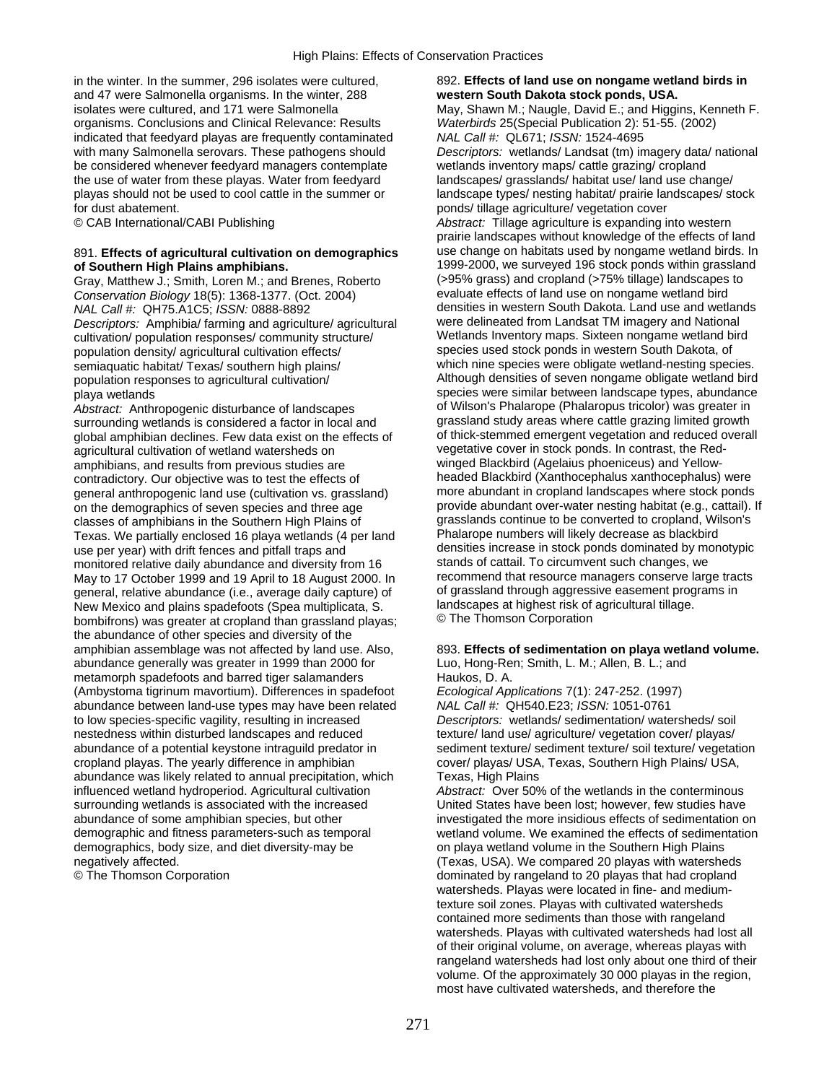in the winter. In the summer, 296 isolates were cultured, and 47 were Salmonella organisms. In the winter, 288 isolates were cultured, and 171 were Salmonella organisms. Conclusions and Clinical Relevance: Results indicated that feedyard playas are frequently contaminated with many Salmonella serovars. These pathogens should be considered whenever feedyard managers contemplate the use of water from these playas. Water from feedyard playas should not be used to cool cattle in the summer or for dust abatement.

© CAB International/CABI Publishing

### 891. **Effects of agricultural cultivation on demographics of Southern High Plains amphibians.**

Gray, Matthew J.; Smith, Loren M.; and Brenes, Roberto *Conservation Biology* 18(5): 1368-1377. (Oct. 2004) *NAL Call #:* QH75.A1C5; *ISSN:* 0888-8892 *Descriptors:* Amphibia/ farming and agriculture/ agricultural cultivation/ population responses/ community structure/ population density/ agricultural cultivation effects/ semiaquatic habitat/ Texas/ southern high plains/ population responses to agricultural cultivation/ playa wetlands

*Abstract:* Anthropogenic disturbance of landscapes surrounding wetlands is considered a factor in local and global amphibian declines. Few data exist on the effects of agricultural cultivation of wetland watersheds on amphibians, and results from previous studies are contradictory. Our objective was to test the effects of general anthropogenic land use (cultivation vs. grassland) on the demographics of seven species and three age classes of amphibians in the Southern High Plains of Texas. We partially enclosed 16 playa wetlands (4 per land use per year) with drift fences and pitfall traps and monitored relative daily abundance and diversity from 16 May to 17 October 1999 and 19 April to 18 August 2000. In general, relative abundance (i.e., average daily capture) of New Mexico and plains spadefoots (Spea multiplicata, S. bombifrons) was greater at cropland than grassland playas; the abundance of other species and diversity of the amphibian assemblage was not affected by land use. Also, abundance generally was greater in 1999 than 2000 for metamorph spadefoots and barred tiger salamanders (Ambystoma tigrinum mavortium). Differences in spadefoot abundance between land-use types may have been related to low species-specific vagility, resulting in increased nestedness within disturbed landscapes and reduced abundance of a potential keystone intraguild predator in cropland playas. The yearly difference in amphibian abundance was likely related to annual precipitation, which influenced wetland hydroperiod. Agricultural cultivation surrounding wetlands is associated with the increased abundance of some amphibian species, but other demographic and fitness parameters-such as temporal demographics, body size, and diet diversity-may be negatively affected.

© The Thomson Corporation

### 892. **Effects of land use on nongame wetland birds in western South Dakota stock ponds, USA.**  May, Shawn M.; Naugle, David E.; and Higgins, Kenneth F. *Waterbirds* 25(Special Publication 2): 51-55. (2002) *NAL Call #:* QL671; *ISSN:* 1524-4695 *Descriptors:* wetlands/ Landsat (tm) imagery data/ national wetlands inventory maps/ cattle grazing/ cropland landscapes/ grasslands/ habitat use/ land use change/ landscape types/ nesting habitat/ prairie landscapes/ stock ponds/ tillage agriculture/ vegetation cover *Abstract:* Tillage agriculture is expanding into western prairie landscapes without knowledge of the effects of land use change on habitats used by nongame wetland birds. In 1999-2000, we surveyed 196 stock ponds within grassland (>95% grass) and cropland (>75% tillage) landscapes to evaluate effects of land use on nongame wetland bird densities in western South Dakota. Land use and wetlands were delineated from Landsat TM imagery and National Wetlands Inventory maps. Sixteen nongame wetland bird species used stock ponds in western South Dakota, of which nine species were obligate wetland-nesting species. Although densities of seven nongame obligate wetland bird species were similar between landscape types, abundance of Wilson's Phalarope (Phalaropus tricolor) was greater in grassland study areas where cattle grazing limited growth of thick-stemmed emergent vegetation and reduced overall vegetative cover in stock ponds. In contrast, the Redwinged Blackbird (Agelaius phoeniceus) and Yellowheaded Blackbird (Xanthocephalus xanthocephalus) were more abundant in cropland landscapes where stock ponds provide abundant over-water nesting habitat (e.g., cattail). If grasslands continue to be converted to cropland, Wilson's Phalarope numbers will likely decrease as blackbird densities increase in stock ponds dominated by monotypic stands of cattail. To circumvent such changes, we recommend that resource managers conserve large tracts of grassland through aggressive easement programs in landscapes at highest risk of agricultural tillage. © The Thomson Corporation

#### 893. **Effects of sedimentation on playa wetland volume.**  Luo, Hong-Ren; Smith, L. M.; Allen, B. L.; and Haukos, D. A.

*Ecological Applications* 7(1): 247-252. (1997) *NAL Call #:* QH540.E23; *ISSN:* 1051-0761 *Descriptors:* wetlands/ sedimentation/ watersheds/ soil texture/ land use/ agriculture/ vegetation cover/ playas/ sediment texture/ sediment texture/ soil texture/ vegetation cover/ playas/ USA, Texas, Southern High Plains/ USA, Texas, High Plains

*Abstract:* Over 50% of the wetlands in the conterminous United States have been lost; however, few studies have investigated the more insidious effects of sedimentation on wetland volume. We examined the effects of sedimentation on playa wetland volume in the Southern High Plains (Texas, USA). We compared 20 playas with watersheds dominated by rangeland to 20 playas that had cropland watersheds. Playas were located in fine- and mediumtexture soil zones. Playas with cultivated watersheds contained more sediments than those with rangeland watersheds. Playas with cultivated watersheds had lost all of their original volume, on average, whereas playas with rangeland watersheds had lost only about one third of their volume. Of the approximately 30 000 playas in the region, most have cultivated watersheds, and therefore the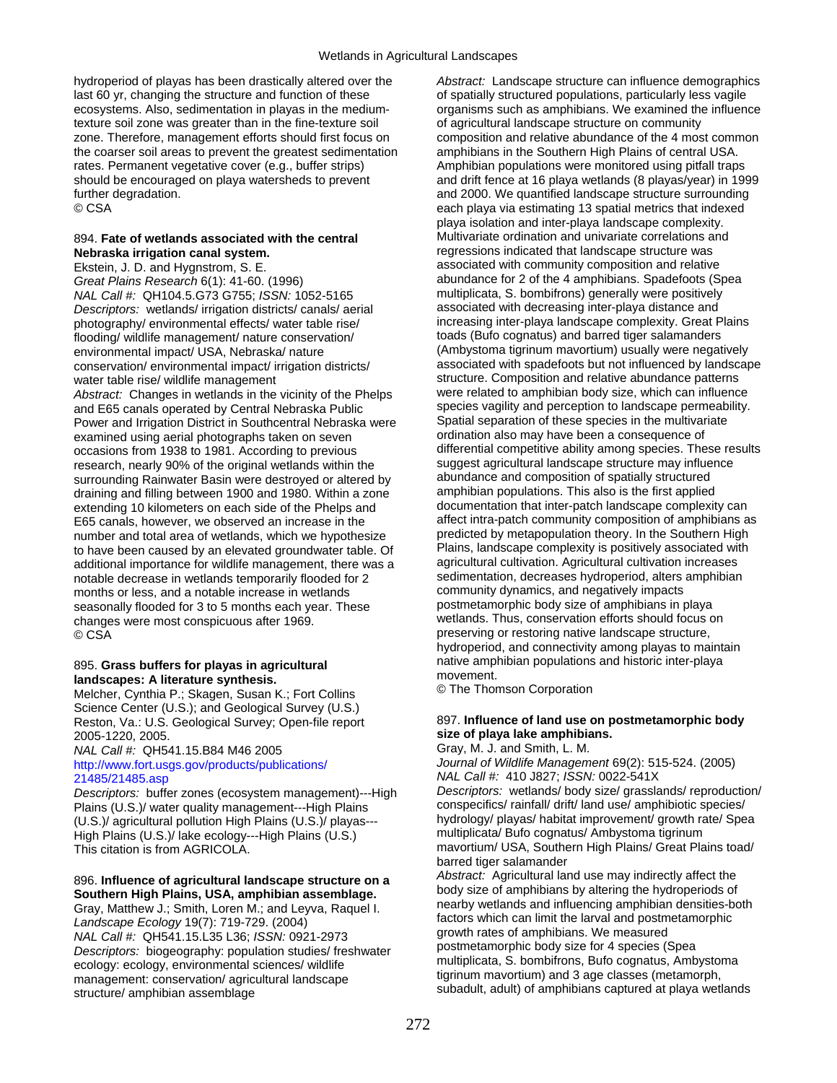hydroperiod of playas has been drastically altered over the last 60 yr, changing the structure and function of these ecosystems. Also, sedimentation in playas in the mediumtexture soil zone was greater than in the fine-texture soil zone. Therefore, management efforts should first focus on the coarser soil areas to prevent the greatest sedimentation rates. Permanent vegetative cover (e.g., buffer strips) should be encouraged on playa watersheds to prevent further degradation. © CSA

## 894. **Fate of wetlands associated with the central Nebraska irrigation canal system.**

Ekstein, J. D. and Hygnstrom, S. E. *Great Plains Research* 6(1): 41-60. (1996) *NAL Call #:* QH104.5.G73 G755; *ISSN:* 1052-5165 *Descriptors:* wetlands/ irrigation districts/ canals/ aerial photography/ environmental effects/ water table rise/ flooding/ wildlife management/ nature conservation/ environmental impact/ USA, Nebraska/ nature conservation/ environmental impact/ irrigation districts/ water table rise/ wildlife management *Abstract:* Changes in wetlands in the vicinity of the Phelps and E65 canals operated by Central Nebraska Public Power and Irrigation District in Southcentral Nebraska were examined using aerial photographs taken on seven occasions from 1938 to 1981. According to previous research, nearly 90% of the original wetlands within the surrounding Rainwater Basin were destroyed or altered by draining and filling between 1900 and 1980. Within a zone extending 10 kilometers on each side of the Phelps and E65 canals, however, we observed an increase in the number and total area of wetlands, which we hypothesize to have been caused by an elevated groundwater table. Of additional importance for wildlife management, there was a notable decrease in wetlands temporarily flooded for 2 months or less, and a notable increase in wetlands seasonally flooded for 3 to 5 months each year. These changes were most conspicuous after 1969. © CSA

## 895. **Grass buffers for playas in agricultural landscapes: A literature synthesis.**

Melcher, Cynthia P.; Skagen, Susan K.; Fort Collins Science Center (U.S.); and Geological Survey (U.S.) Reston, Va.: U.S. Geological Survey; Open-file report 2005-1220, 2005.

*NAL Call #:* QH541.15.B84 M46 2005 [http://www.fort.usgs.gov/products/publications/](http://www.fort.usgs.gov/products/publications/21485/21485.asp)  21485/21485.asp

*Descriptors:* buffer zones (ecosystem management)---High Plains (U.S.)/ water quality management---High Plains (U.S.)/ agricultural pollution High Plains (U.S.)/ playas--- High Plains (U.S.)/ lake ecology---High Plains (U.S.) This citation is from AGRICOLA.

### 896. **Influence of agricultural landscape structure on a Southern High Plains, USA, amphibian assemblage.**

Gray, Matthew J.; Smith, Loren M.; and Leyva, Raquel I. *Landscape Ecology* 19(7): 719-729. (2004) *NAL Call #:* QH541.15.L35 L36; *ISSN:* 0921-2973 *Descriptors:* biogeography: population studies/ freshwater ecology: ecology, environmental sciences/ wildlife management: conservation/ agricultural landscape structure/ amphibian assemblage

*Abstract:* Landscape structure can influence demographics of spatially structured populations, particularly less vagile organisms such as amphibians. We examined the influence of agricultural landscape structure on community composition and relative abundance of the 4 most common amphibians in the Southern High Plains of central USA. Amphibian populations were monitored using pitfall traps and drift fence at 16 playa wetlands (8 playas/year) in 1999 and 2000. We quantified landscape structure surrounding each playa via estimating 13 spatial metrics that indexed playa isolation and inter-playa landscape complexity. Multivariate ordination and univariate correlations and regressions indicated that landscape structure was associated with community composition and relative abundance for 2 of the 4 amphibians. Spadefoots (Spea multiplicata, S. bombifrons) generally were positively associated with decreasing inter-playa distance and increasing inter-playa landscape complexity. Great Plains toads (Bufo cognatus) and barred tiger salamanders (Ambystoma tigrinum mavortium) usually were negatively associated with spadefoots but not influenced by landscape structure. Composition and relative abundance patterns were related to amphibian body size, which can influence species vagility and perception to landscape permeability. Spatial separation of these species in the multivariate ordination also may have been a consequence of differential competitive ability among species. These results suggest agricultural landscape structure may influence abundance and composition of spatially structured amphibian populations. This also is the first applied documentation that inter-patch landscape complexity can affect intra-patch community composition of amphibians as predicted by metapopulation theory. In the Southern High Plains, landscape complexity is positively associated with agricultural cultivation. Agricultural cultivation increases sedimentation, decreases hydroperiod, alters amphibian community dynamics, and negatively impacts postmetamorphic body size of amphibians in playa wetlands. Thus, conservation efforts should focus on preserving or restoring native landscape structure, hydroperiod, and connectivity among playas to maintain native amphibian populations and historic inter-playa movement.

© The Thomson Corporation

# 897. **Influence of land use on postmetamorphic body size of playa lake amphibians.**

Gray, M. J. and Smith, L. M.

*Journal of Wildlife Management* 69(2): 515-524. (2005) *NAL Call #:* 410 J827; *ISSN:* 0022-541X *Descriptors:* wetlands/ body size/ grasslands/ reproduction/ conspecifics/ rainfall/ drift/ land use/ amphibiotic species/ hydrology/ playas/ habitat improvement/ growth rate/ Spea multiplicata/ Bufo cognatus/ Ambystoma tigrinum mavortium/ USA, Southern High Plains/ Great Plains toad/ barred tiger salamander

*Abstract:* Agricultural land use may indirectly affect the body size of amphibians by altering the hydroperiods of nearby wetlands and influencing amphibian densities-both factors which can limit the larval and postmetamorphic growth rates of amphibians. We measured postmetamorphic body size for 4 species (Spea multiplicata, S. bombifrons, Bufo cognatus, Ambystoma tigrinum mavortium) and 3 age classes (metamorph, subadult, adult) of amphibians captured at playa wetlands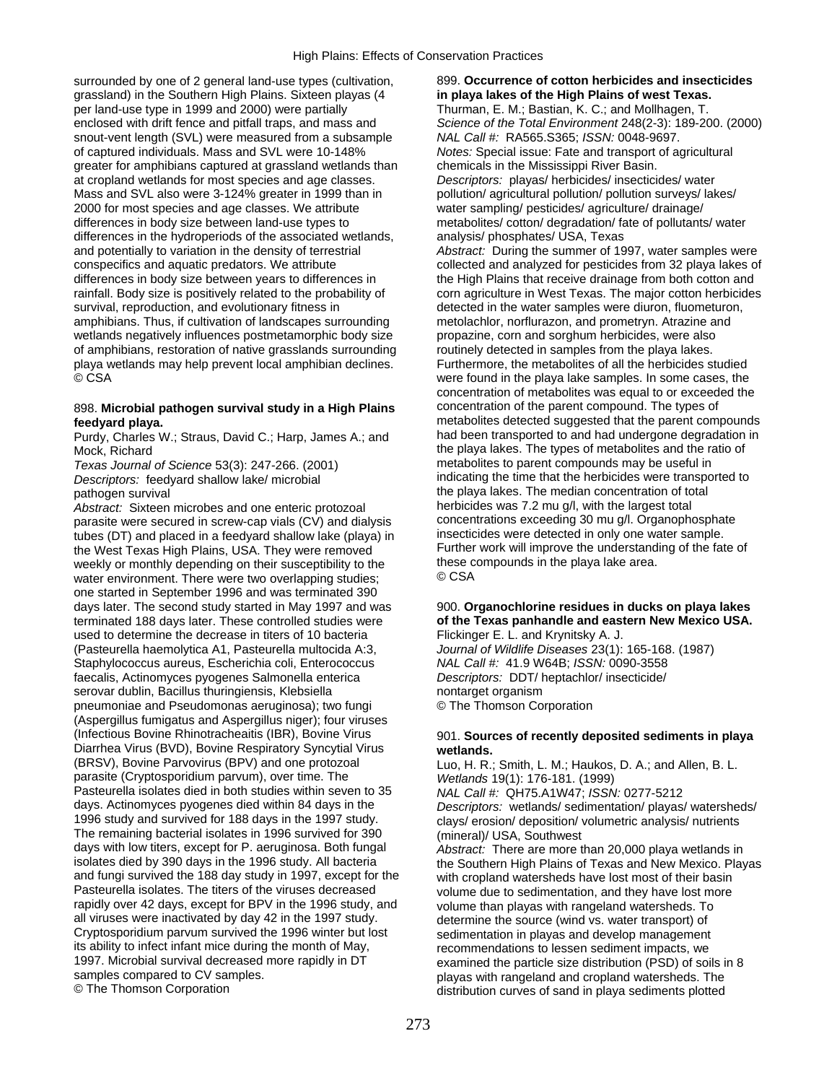surrounded by one of 2 general land-use types (cultivation, grassland) in the Southern High Plains. Sixteen playas (4 per land-use type in 1999 and 2000) were partially enclosed with drift fence and pitfall traps, and mass and snout-vent length (SVL) were measured from a subsample of captured individuals. Mass and SVL were 10-148% greater for amphibians captured at grassland wetlands than at cropland wetlands for most species and age classes. Mass and SVL also were 3-124% greater in 1999 than in 2000 for most species and age classes. We attribute differences in body size between land-use types to differences in the hydroperiods of the associated wetlands, and potentially to variation in the density of terrestrial conspecifics and aquatic predators. We attribute differences in body size between years to differences in rainfall. Body size is positively related to the probability of survival, reproduction, and evolutionary fitness in amphibians. Thus, if cultivation of landscapes surrounding wetlands negatively influences postmetamorphic body size of amphibians, restoration of native grasslands surrounding playa wetlands may help prevent local amphibian declines. © CSA

### 898. **Microbial pathogen survival study in a High Plains feedyard playa.**

Purdy, Charles W.; Straus, David C.; Harp, James A.; and Mock, Richard

*Texas Journal of Science* 53(3): 247-266. (2001) *Descriptors:* feedyard shallow lake/ microbial pathogen survival

*Abstract:* Sixteen microbes and one enteric protozoal parasite were secured in screw-cap vials (CV) and dialysis tubes (DT) and placed in a feedyard shallow lake (playa) in the West Texas High Plains, USA. They were removed weekly or monthly depending on their susceptibility to the water environment. There were two overlapping studies; one started in September 1996 and was terminated 390 days later. The second study started in May 1997 and was terminated 188 days later. These controlled studies were used to determine the decrease in titers of 10 bacteria (Pasteurella haemolytica A1, Pasteurella multocida A:3, Staphylococcus aureus, Escherichia coli, Enterococcus faecalis, Actinomyces pyogenes Salmonella enterica serovar dublin, Bacillus thuringiensis, Klebsiella pneumoniae and Pseudomonas aeruginosa); two fungi (Aspergillus fumigatus and Aspergillus niger); four viruses (Infectious Bovine Rhinotracheaitis (IBR), Bovine Virus Diarrhea Virus (BVD), Bovine Respiratory Syncytial Virus (BRSV), Bovine Parvovirus (BPV) and one protozoal parasite (Cryptosporidium parvum), over time. The Pasteurella isolates died in both studies within seven to 35 days. Actinomyces pyogenes died within 84 days in the 1996 study and survived for 188 days in the 1997 study. The remaining bacterial isolates in 1996 survived for 390 days with low titers, except for P. aeruginosa. Both fungal isolates died by 390 days in the 1996 study. All bacteria and fungi survived the 188 day study in 1997, except for the Pasteurella isolates. The titers of the viruses decreased rapidly over 42 days, except for BPV in the 1996 study, and all viruses were inactivated by day 42 in the 1997 study. Cryptosporidium parvum survived the 1996 winter but lost its ability to infect infant mice during the month of May, 1997. Microbial survival decreased more rapidly in DT samples compared to CV samples. © The Thomson Corporation

899. **Occurrence of cotton herbicides and insecticides in playa lakes of the High Plains of west Texas.**  Thurman, E. M.; Bastian, K. C.; and Mollhagen, T. *Science of the Total Environment* 248(2-3): 189-200. (2000) *NAL Call #:* RA565.S365; *ISSN:* 0048-9697. *Notes:* Special issue: Fate and transport of agricultural chemicals in the Mississippi River Basin. *Descriptors:* playas/ herbicides/ insecticides/ water pollution/ agricultural pollution/ pollution surveys/ lakes/ water sampling/ pesticides/ agriculture/ drainage/ metabolites/ cotton/ degradation/ fate of pollutants/ water analysis/ phosphates/ USA, Texas *Abstract:* During the summer of 1997, water samples were collected and analyzed for pesticides from 32 playa lakes of the High Plains that receive drainage from both cotton and corn agriculture in West Texas. The major cotton herbicides detected in the water samples were diuron, fluometuron, metolachlor, norflurazon, and prometryn. Atrazine and propazine, corn and sorghum herbicides, were also routinely detected in samples from the playa lakes. Furthermore, the metabolites of all the herbicides studied were found in the playa lake samples. In some cases, the concentration of metabolites was equal to or exceeded the concentration of the parent compound. The types of metabolites detected suggested that the parent compounds had been transported to and had undergone degradation in the playa lakes. The types of metabolites and the ratio of metabolites to parent compounds may be useful in indicating the time that the herbicides were transported to the playa lakes. The median concentration of total herbicides was 7.2 mu g/l, with the largest total concentrations exceeding 30 mu g/l. Organophosphate insecticides were detected in only one water sample. Further work will improve the understanding of the fate of these compounds in the playa lake area. © CSA

#### 900. **Organochlorine residues in ducks on playa lakes of the Texas panhandle and eastern New Mexico USA.**  Flickinger E. L. and Krynitsky A. J.

*Journal of Wildlife Diseases* 23(1): 165-168. (1987) *NAL Call #:* 41.9 W64B; *ISSN:* 0090-3558 *Descriptors:* DDT/ heptachlor/ insecticide/ nontarget organism © The Thomson Corporation

## 901. **Sources of recently deposited sediments in playa wetlands.**

Luo, H. R.; Smith, L. M.; Haukos, D. A.; and Allen, B. L. *Wetlands* 19(1): 176-181. (1999) *NAL Call #:* QH75.A1W47; *ISSN:* 0277-5212 *Descriptors:* wetlands/ sedimentation/ playas/ watersheds/ clays/ erosion/ deposition/ volumetric analysis/ nutrients (mineral)/ USA, Southwest *Abstract:* There are more than 20,000 playa wetlands in

the Southern High Plains of Texas and New Mexico. Playas with cropland watersheds have lost most of their basin volume due to sedimentation, and they have lost more volume than playas with rangeland watersheds. To determine the source (wind vs. water transport) of sedimentation in playas and develop management recommendations to lessen sediment impacts, we examined the particle size distribution (PSD) of soils in 8 playas with rangeland and cropland watersheds. The distribution curves of sand in playa sediments plotted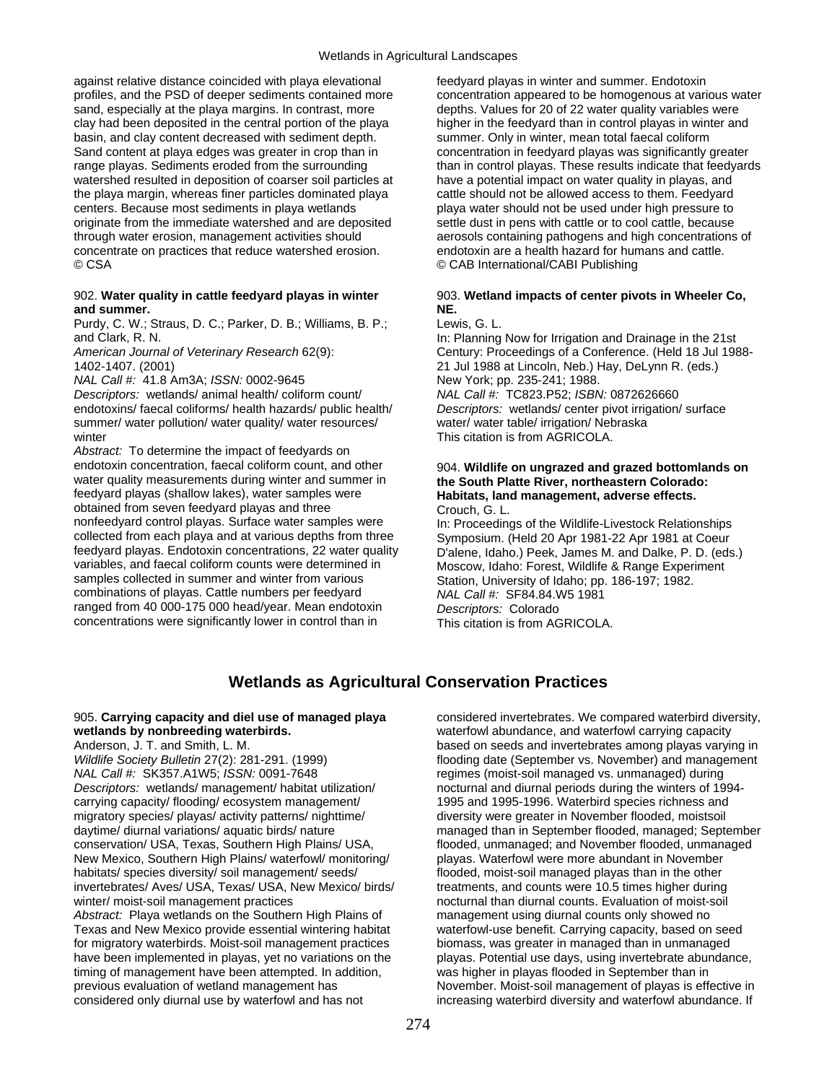against relative distance coincided with playa elevational profiles, and the PSD of deeper sediments contained more sand, especially at the playa margins. In contrast, more clay had been deposited in the central portion of the playa basin, and clay content decreased with sediment depth. Sand content at playa edges was greater in crop than in range playas. Sediments eroded from the surrounding watershed resulted in deposition of coarser soil particles at the playa margin, whereas finer particles dominated playa centers. Because most sediments in playa wetlands originate from the immediate watershed and are deposited through water erosion, management activities should concentrate on practices that reduce watershed erosion. © CSA

### 902. **Water quality in cattle feedyard playas in winter and summer.**

Purdy, C. W.; Straus, D. C.; Parker, D. B.; Williams, B. P.; and Clark, R. N.

*American Journal of Veterinary Research* 62(9): 1402-1407. (2001)

*NAL Call #:* 41.8 Am3A; *ISSN:* 0002-9645 *Descriptors:* wetlands/ animal health/ coliform count/ endotoxins/ faecal coliforms/ health hazards/ public health/ summer/ water pollution/ water quality/ water resources/ winter

*Abstract:* To determine the impact of feedyards on endotoxin concentration, faecal coliform count, and other water quality measurements during winter and summer in feedyard playas (shallow lakes), water samples were obtained from seven feedyard playas and three nonfeedyard control playas. Surface water samples were collected from each playa and at various depths from three feedyard playas. Endotoxin concentrations, 22 water quality variables, and faecal coliform counts were determined in samples collected in summer and winter from various combinations of playas. Cattle numbers per feedyard ranged from 40 000-175 000 head/year. Mean endotoxin concentrations were significantly lower in control than in

feedyard playas in winter and summer. Endotoxin concentration appeared to be homogenous at various water depths. Values for 20 of 22 water quality variables were higher in the feedyard than in control playas in winter and summer. Only in winter, mean total faecal coliform concentration in feedyard playas was significantly greater than in control playas. These results indicate that feedyards have a potential impact on water quality in playas, and cattle should not be allowed access to them. Feedyard playa water should not be used under high pressure to settle dust in pens with cattle or to cool cattle, because aerosols containing pathogens and high concentrations of endotoxin are a health hazard for humans and cattle. © CAB International/CABI Publishing

### 903. **Wetland impacts of center pivots in Wheeler Co, NE.**

Lewis, G. L.

In: Planning Now for Irrigation and Drainage in the 21st Century: Proceedings of a Conference. (Held 18 Jul 1988- 21 Jul 1988 at Lincoln, Neb.) Hay, DeLynn R. (eds.) New York; pp. 235-241; 1988. *NAL Call #:* TC823.P52; *ISBN:* 0872626660 *Descriptors:* wetlands/ center pivot irrigation/ surface water/ water table/ irrigation/ Nebraska This citation is from AGRICOLA.

#### 904. **Wildlife on ungrazed and grazed bottomlands on the South Platte River, northeastern Colorado: Habitats, land management, adverse effects.** Crouch, G. L.

In: Proceedings of the Wildlife-Livestock Relationships Symposium. (Held 20 Apr 1981-22 Apr 1981 at Coeur D'alene, Idaho.) Peek, James M. and Dalke, P. D. (eds.) Moscow, Idaho: Forest, Wildlife & Range Experiment Station, University of Idaho; pp. 186-197; 1982. *NAL Call #:* SF84.84.W5 1981 *Descriptors:* Colorado This citation is from AGRICOLA.

# **Wetlands as Agricultural Conservation Practices**

### 905. **Carrying capacity and diel use of managed playa wetlands by nonbreeding waterbirds.**

Anderson, J. T. and Smith, L. M. *Wildlife Society Bulletin* 27(2): 281-291. (1999) *NAL Call #:* SK357.A1W5; *ISSN:* 0091-7648 *Descriptors:* wetlands/ management/ habitat utilization/ carrying capacity/ flooding/ ecosystem management/ migratory species/ playas/ activity patterns/ nighttime/ daytime/ diurnal variations/ aquatic birds/ nature conservation/ USA, Texas, Southern High Plains/ USA, New Mexico, Southern High Plains/ waterfowl/ monitoring/ habitats/ species diversity/ soil management/ seeds/ invertebrates/ Aves/ USA, Texas/ USA, New Mexico/ birds/ winter/ moist-soil management practices *Abstract:* Playa wetlands on the Southern High Plains of Texas and New Mexico provide essential wintering habitat for migratory waterbirds. Moist-soil management practices have been implemented in playas, yet no variations on the timing of management have been attempted. In addition, previous evaluation of wetland management has considered only diurnal use by waterfowl and has not

considered invertebrates. We compared waterbird diversity, waterfowl abundance, and waterfowl carrying capacity based on seeds and invertebrates among playas varying in flooding date (September vs. November) and management regimes (moist-soil managed vs. unmanaged) during nocturnal and diurnal periods during the winters of 1994- 1995 and 1995-1996. Waterbird species richness and diversity were greater in November flooded, moistsoil managed than in September flooded, managed; September flooded, unmanaged; and November flooded, unmanaged playas. Waterfowl were more abundant in November flooded, moist-soil managed playas than in the other treatments, and counts were 10.5 times higher during nocturnal than diurnal counts. Evaluation of moist-soil management using diurnal counts only showed no waterfowl-use benefit. Carrying capacity, based on seed biomass, was greater in managed than in unmanaged playas. Potential use days, using invertebrate abundance, was higher in playas flooded in September than in November. Moist-soil management of playas is effective in increasing waterbird diversity and waterfowl abundance. If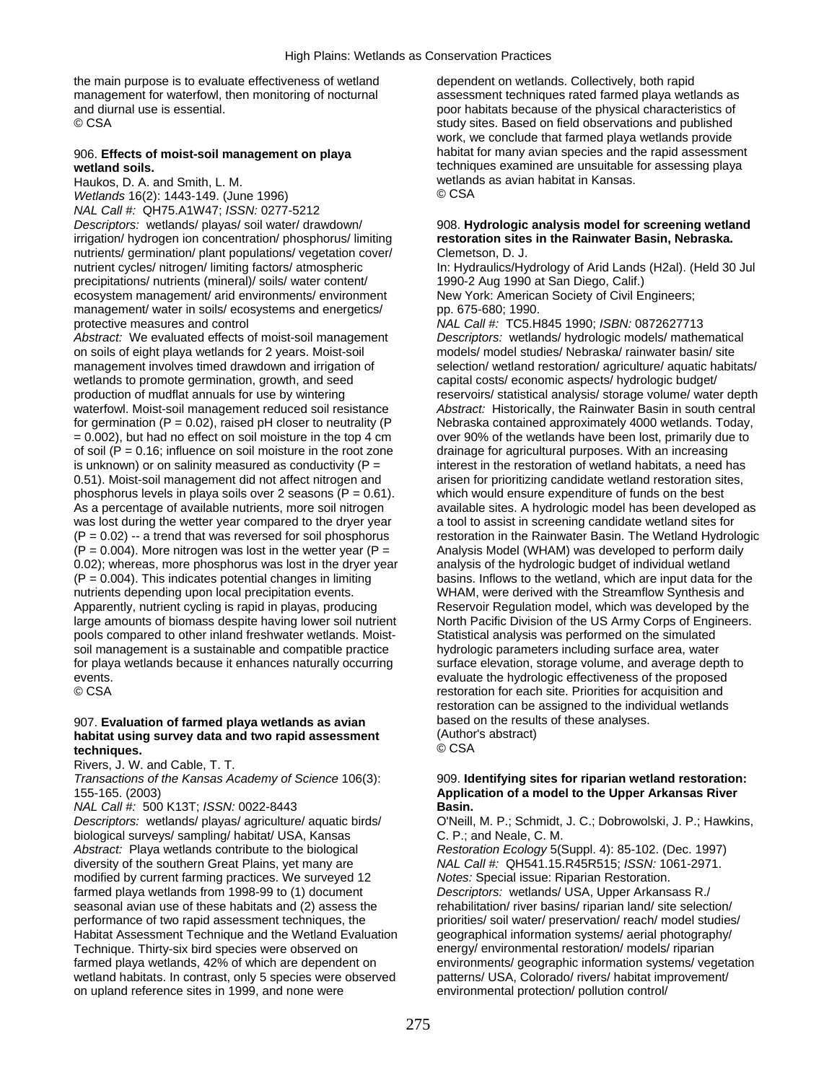the main purpose is to evaluate effectiveness of wetland management for waterfowl, then monitoring of nocturnal and diurnal use is essential. © CSA

# 906. **Effects of moist-soil management on playa wetland soils.**

Haukos, D. A. and Smith, L. M. *Wetlands* 16(2): 1443-149. (June 1996) *NAL Call #:* QH75.A1W47; *ISSN:* 0277-5212 *Descriptors:* wetlands/ playas/ soil water/ drawdown/ irrigation/ hydrogen ion concentration/ phosphorus/ limiting nutrients/ germination/ plant populations/ vegetation cover/ nutrient cycles/ nitrogen/ limiting factors/ atmospheric precipitations/ nutrients (mineral)/ soils/ water content/ ecosystem management/ arid environments/ environment management/ water in soils/ ecosystems and energetics/ protective measures and control

*Abstract:* We evaluated effects of moist-soil management on soils of eight playa wetlands for 2 years. Moist-soil management involves timed drawdown and irrigation of wetlands to promote germination, growth, and seed production of mudflat annuals for use by wintering waterfowl. Moist-soil management reduced soil resistance for germination ( $P = 0.02$ ), raised pH closer to neutrality ( $P$  $= 0.002$ ), but had no effect on soil moisture in the top 4 cm of soil ( $P = 0.16$ ; influence on soil moisture in the root zone is unknown) or on salinity measured as conductivity ( $P =$ 0.51). Moist-soil management did not affect nitrogen and phosphorus levels in playa soils over 2 seasons ( $P = 0.61$ ). As a percentage of available nutrients, more soil nitrogen was lost during the wetter year compared to the dryer year  $(P = 0.02)$  -- a trend that was reversed for soil phosphorus  $(P = 0.004)$ . More nitrogen was lost in the wetter year  $(P = 1.004)$ 0.02); whereas, more phosphorus was lost in the dryer year  $(P = 0.004)$ . This indicates potential changes in limiting nutrients depending upon local precipitation events. Apparently, nutrient cycling is rapid in playas, producing large amounts of biomass despite having lower soil nutrient pools compared to other inland freshwater wetlands. Moistsoil management is a sustainable and compatible practice for playa wetlands because it enhances naturally occurring events.

© CSA

### 907. **Evaluation of farmed playa wetlands as avian habitat using survey data and two rapid assessment techniques.**

Rivers, J. W. and Cable, T. T.

*Transactions of the Kansas Academy of Science* 106(3): 155-165. (2003)

*NAL Call #:* 500 K13T; *ISSN:* 0022-8443

*Descriptors:* wetlands/ playas/ agriculture/ aquatic birds/ biological surveys/ sampling/ habitat/ USA, Kansas *Abstract:* Playa wetlands contribute to the biological diversity of the southern Great Plains, yet many are modified by current farming practices. We surveyed 12 farmed playa wetlands from 1998-99 to (1) document seasonal avian use of these habitats and (2) assess the performance of two rapid assessment techniques, the Habitat Assessment Technique and the Wetland Evaluation Technique. Thirty-six bird species were observed on farmed playa wetlands, 42% of which are dependent on wetland habitats. In contrast, only 5 species were observed on upland reference sites in 1999, and none were

dependent on wetlands. Collectively, both rapid assessment techniques rated farmed playa wetlands as poor habitats because of the physical characteristics of study sites. Based on field observations and published work, we conclude that farmed playa wetlands provide habitat for many avian species and the rapid assessment techniques examined are unsuitable for assessing playa wetlands as avian habitat in Kansas. © CSA

### 908. **Hydrologic analysis model for screening wetland restoration sites in the Rainwater Basin, Nebraska.** Clemetson, D. J.

In: Hydraulics/Hydrology of Arid Lands (H2al). (Held 30 Jul 1990-2 Aug 1990 at San Diego, Calif.) New York: American Society of Civil Engineers; pp. 675-680; 1990.

*NAL Call #:* TC5.H845 1990; *ISBN:* 0872627713 *Descriptors:* wetlands/ hydrologic models/ mathematical models/ model studies/ Nebraska/ rainwater basin/ site selection/ wetland restoration/ agriculture/ aquatic habitats/ capital costs/ economic aspects/ hydrologic budget/ reservoirs/ statistical analysis/ storage volume/ water depth *Abstract:* Historically, the Rainwater Basin in south central Nebraska contained approximately 4000 wetlands. Today, over 90% of the wetlands have been lost, primarily due to drainage for agricultural purposes. With an increasing interest in the restoration of wetland habitats, a need has arisen for prioritizing candidate wetland restoration sites, which would ensure expenditure of funds on the best available sites. A hydrologic model has been developed as a tool to assist in screening candidate wetland sites for restoration in the Rainwater Basin. The Wetland Hydrologic Analysis Model (WHAM) was developed to perform daily analysis of the hydrologic budget of individual wetland basins. Inflows to the wetland, which are input data for the WHAM, were derived with the Streamflow Synthesis and Reservoir Regulation model, which was developed by the North Pacific Division of the US Army Corps of Engineers. Statistical analysis was performed on the simulated hydrologic parameters including surface area, water surface elevation, storage volume, and average depth to evaluate the hydrologic effectiveness of the proposed restoration for each site. Priorities for acquisition and restoration can be assigned to the individual wetlands based on the results of these analyses. (Author's abstract) © CSA

### 909. **Identifying sites for riparian wetland restoration: Application of a model to the Upper Arkansas River Basin.**

O'Neill, M. P.; Schmidt, J. C.; Dobrowolski, J. P.; Hawkins, C. P.; and Neale, C. M.

*Restoration Ecology* 5(Suppl. 4): 85-102. (Dec. 1997) *NAL Call #:* QH541.15.R45R515; *ISSN:* 1061-2971. *Notes:* Special issue: Riparian Restoration. *Descriptors:* wetlands/ USA, Upper Arkansass R./ rehabilitation/ river basins/ riparian land/ site selection/ priorities/ soil water/ preservation/ reach/ model studies/ geographical information systems/ aerial photography/ energy/ environmental restoration/ models/ riparian environments/ geographic information systems/ vegetation patterns/ USA, Colorado/ rivers/ habitat improvement/ environmental protection/ pollution control/